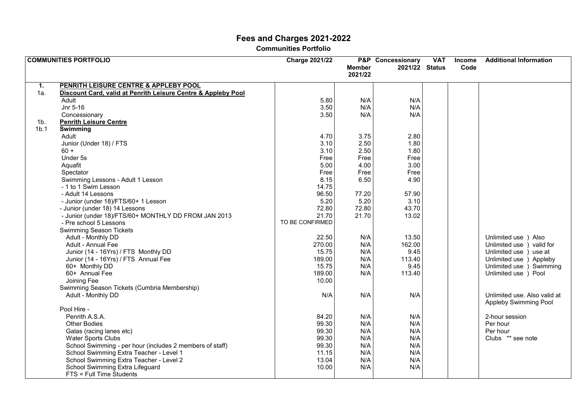# **Fees and Charges 2021-2022**

**Communities Portfolio** 

|                  | <b>COMMUNITIES PORTFOLIO</b>                                           | <b>Charge 2021/22</b> |               | <b>P&amp;P</b> Concessionary | <b>VAT</b> | <b>Income</b> | <b>Additional Information</b> |
|------------------|------------------------------------------------------------------------|-----------------------|---------------|------------------------------|------------|---------------|-------------------------------|
|                  |                                                                        |                       | <b>Member</b> | 2021/22 Status               |            | Code          |                               |
|                  |                                                                        |                       | 2021/22       |                              |            |               |                               |
|                  |                                                                        |                       |               |                              |            |               |                               |
| $\mathbf{1}$ .   | PENRITH LEISURE CENTRE & APPLEBY POOL                                  |                       |               |                              |            |               |                               |
| 1a.              | Discount Card, valid at Penrith Leisure Centre & Appleby Pool<br>Adult |                       |               |                              |            |               |                               |
|                  |                                                                        | 5.80                  | N/A           | N/A                          |            |               |                               |
|                  | Jnr 5-16                                                               | 3.50                  | N/A           | N/A                          |            |               |                               |
|                  | Concessionary                                                          | 3.50                  | N/A           | N/A                          |            |               |                               |
| 1 <sub>b</sub>   | <b>Penrith Leisure Centre</b>                                          |                       |               |                              |            |               |                               |
| 1 <sub>b.1</sub> | <b>Swimming</b>                                                        |                       |               |                              |            |               |                               |
|                  | Adult                                                                  | 4.70                  | 3.75          | 2.80                         |            |               |                               |
|                  | Junior (Under 18) / FTS                                                | 3.10                  | 2.50          | 1.80                         |            |               |                               |
|                  | $60 +$                                                                 | 3.10                  | 2.50          | 1.80                         |            |               |                               |
|                  | Under 5s                                                               | Free                  | Free          | Free                         |            |               |                               |
|                  | Aquafit                                                                | 5.00                  | 4.00          | 3.00                         |            |               |                               |
|                  | Spectator                                                              | Free                  | Free          | Free                         |            |               |                               |
|                  | Swimming Lessons - Adult 1 Lesson                                      | 8.15                  | 6.50          | 4.90                         |            |               |                               |
|                  | - 1 to 1 Swim Lesson                                                   | 14.75                 |               |                              |            |               |                               |
|                  | - Adult 14 Lessons                                                     | 96.50                 | 77.20         | 57.90                        |            |               |                               |
|                  | - Junior (under 18)/FTS/60+ 1 Lesson                                   | 5.20                  | 5.20          | 3.10                         |            |               |                               |
|                  | - Junior (under 18) 14 Lessons                                         | 72.80                 | 72.80         | 43.70                        |            |               |                               |
|                  | - Junior (under 18)/FTS/60+ MONTHLY DD FROM JAN 2013                   | 21.70                 | 21.70         | 13.02                        |            |               |                               |
|                  | - Pre school 5 Lessons                                                 | TO BE CONFIRMED       |               |                              |            |               |                               |
|                  | <b>Swimming Season Tickets</b>                                         |                       |               |                              |            |               |                               |
|                  | Adult - Monthly DD                                                     | 22.50                 | N/A           | 13.50                        |            |               | Unlimited use ) Also          |
|                  | Adult - Annual Fee                                                     | 270.00                | N/A           | 162.00                       |            |               | Unlimited use )<br>valid for  |
|                  | Junior (14 - 16Yrs) / FTS Monthly DD                                   | 15.75                 | N/A           | 9.45                         |            |               | Unlimited use )<br>use at     |
|                  | Junior (14 - 16Yrs) / FTS Annual Fee                                   | 189.00                | N/A           | 113.40                       |            |               | Unlimited use )<br>Appleby    |
|                  | 60+ Monthly DD                                                         | 15.75                 | N/A           | 9.45                         |            |               | Unlimited use ) Swimming      |
|                  | 60+ Annual Fee                                                         | 189.00                | N/A           | 113.40                       |            |               | Unlimited use ) Pool          |
|                  | Joining Fee                                                            | 10.00                 |               |                              |            |               |                               |
|                  | Swimming Season Tickets (Cumbria Membership)                           |                       |               |                              |            |               |                               |
|                  | Adult - Monthly DD                                                     | N/A                   | N/A           | N/A                          |            |               | Unlimited use. Also valid at  |
|                  |                                                                        |                       |               |                              |            |               |                               |
|                  | Pool Hire -                                                            |                       |               |                              |            |               | Appleby Swimming Pool         |
|                  | Penrith A.S.A.                                                         | 84.20                 | N/A           | N/A                          |            |               | 2-hour session                |
|                  |                                                                        |                       |               |                              |            |               |                               |
|                  | <b>Other Bodies</b>                                                    | 99.30                 | N/A           | N/A                          |            |               | Per hour                      |
|                  | Galas (racing lanes etc)                                               | 99.30                 | N/A           | N/A                          |            |               | Per hour                      |
|                  | <b>Water Sports Clubs</b>                                              | 99.30                 | N/A           | N/A                          |            |               | Clubs ** see note             |
|                  | School Swimming - per hour (includes 2 members of staff)               | 99.30                 | N/A           | N/A                          |            |               |                               |
|                  | School Swimming Extra Teacher - Level 1                                | 11.15                 | N/A           | N/A                          |            |               |                               |
|                  | School Swimming Extra Teacher - Level 2                                | 13.04                 | N/A           | N/A                          |            |               |                               |
|                  | School Swimming Extra Lifeguard                                        | 10.00                 | N/A           | N/A                          |            |               |                               |
|                  | FTS = Full Time Students                                               |                       |               |                              |            |               |                               |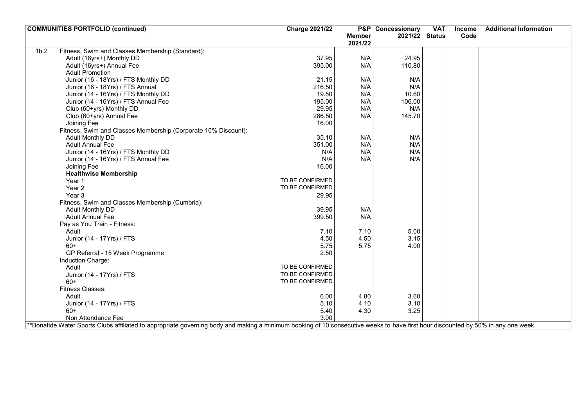| <b>COMMUNITIES PORTFOLIO (continued)</b>                                                                                                                                          | <b>Charge 2021/22</b> |               | <b>P&amp;P</b> Concessionary | <b>VAT</b> | Income | <b>Additional Information</b> |
|-----------------------------------------------------------------------------------------------------------------------------------------------------------------------------------|-----------------------|---------------|------------------------------|------------|--------|-------------------------------|
|                                                                                                                                                                                   |                       | <b>Member</b> | 2021/22 Status               |            | Code   |                               |
|                                                                                                                                                                                   |                       | 2021/22       |                              |            |        |                               |
| Fitness, Swim and Classes Membership (Standard):<br>1 <sub>b.2</sub>                                                                                                              |                       |               |                              |            |        |                               |
| Adult (16yrs+) Monthly DD                                                                                                                                                         | 37.95                 | N/A           | 24.95                        |            |        |                               |
| Adult (16yrs+) Annual Fee                                                                                                                                                         | 395.00                | N/A           | 110.80                       |            |        |                               |
| <b>Adult Promotion</b>                                                                                                                                                            |                       |               |                              |            |        |                               |
| Junior (16 - 18Yrs) / FTS Monthly DD                                                                                                                                              | 21.15                 | N/A           | N/A                          |            |        |                               |
| Junior (16 - 18Yrs) / FTS Annual                                                                                                                                                  | 216.50                | N/A           | N/A                          |            |        |                               |
| Junior (14 - 16Yrs) / FTS Monthly DD                                                                                                                                              | 19.50                 | N/A           | 10.60                        |            |        |                               |
| Junior (14 - 16Yrs) / FTS Annual Fee                                                                                                                                              | 195.00                | N/A           | 106.00                       |            |        |                               |
| Club (60+yrs) Monthly DD                                                                                                                                                          | 29.95                 | N/A           | N/A                          |            |        |                               |
| Club (60+yrs) Annual Fee                                                                                                                                                          | 286.50                | N/A           | 145.70                       |            |        |                               |
| Joining Fee                                                                                                                                                                       | 16.00                 |               |                              |            |        |                               |
| Fitness, Swim and Classes Membership (Corporate 10% Discount):                                                                                                                    |                       |               |                              |            |        |                               |
| Adult Monthly DD                                                                                                                                                                  | 35.10                 | N/A           | N/A                          |            |        |                               |
| <b>Adult Annual Fee</b>                                                                                                                                                           | 351.00                | N/A           | N/A                          |            |        |                               |
| Junior (14 - 16Yrs) / FTS Monthly DD                                                                                                                                              | N/A                   | N/A           | N/A                          |            |        |                               |
| Junior (14 - 16Yrs) / FTS Annual Fee                                                                                                                                              | N/A                   | N/A           | N/A                          |            |        |                               |
| Joining Fee                                                                                                                                                                       | 16.00                 |               |                              |            |        |                               |
| <b>Healthwise Membership</b>                                                                                                                                                      |                       |               |                              |            |        |                               |
| Year 1                                                                                                                                                                            | TO BE CONFIRMED       |               |                              |            |        |                               |
| Year <sub>2</sub>                                                                                                                                                                 | TO BE CONFIRMED       |               |                              |            |        |                               |
| Year 3                                                                                                                                                                            | 29.95                 |               |                              |            |        |                               |
| Fitness, Swim and Classes Membership (Cumbria):                                                                                                                                   |                       |               |                              |            |        |                               |
| Adult Monthly DD                                                                                                                                                                  | 39.95                 | N/A           |                              |            |        |                               |
| <b>Adult Annual Fee</b>                                                                                                                                                           | 399.50                | N/A           |                              |            |        |                               |
| Pay as You Train - Fitness:                                                                                                                                                       |                       |               |                              |            |        |                               |
| Adult                                                                                                                                                                             | 7.10                  | 7.10          | 5.00                         |            |        |                               |
| Junior (14 - 17Yrs) / FTS                                                                                                                                                         | 4.50                  | 4.50          | 3.15                         |            |        |                               |
| $60+$                                                                                                                                                                             | 5.75                  | 5.75          | 4.00                         |            |        |                               |
| GP Referral - 15 Week Programme                                                                                                                                                   | 2.50                  |               |                              |            |        |                               |
| Induction Charge:                                                                                                                                                                 |                       |               |                              |            |        |                               |
| Adult                                                                                                                                                                             | TO BE CONFIRMED       |               |                              |            |        |                               |
| Junior (14 - 17Yrs) / FTS                                                                                                                                                         | TO BE CONFIRMED       |               |                              |            |        |                               |
| $60+$                                                                                                                                                                             | TO BE CONFIRMED       |               |                              |            |        |                               |
| <b>Fitness Classes:</b>                                                                                                                                                           |                       |               |                              |            |        |                               |
| Adult                                                                                                                                                                             |                       | 4.80          | 3.60                         |            |        |                               |
| Junior (14 - 17Yrs) / FTS                                                                                                                                                         | 6.00<br>5.10          | 4.10          | 3.10                         |            |        |                               |
| $60+$                                                                                                                                                                             |                       |               |                              |            |        |                               |
|                                                                                                                                                                                   | 5.40<br>3.00          | 4.30          | 3.25                         |            |        |                               |
| Non Attendance Fee                                                                                                                                                                |                       |               |                              |            |        |                               |
| **Bonafide Water Sports Clubs affiliated to appropriate governing body and making a minimum booking of 10 consecutive weeks to have first hour discounted by 50% in any one week. |                       |               |                              |            |        |                               |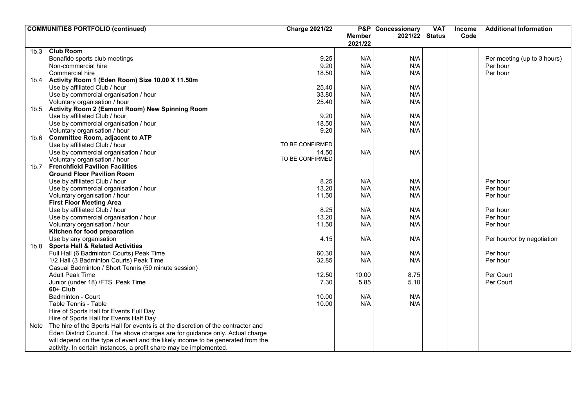|      | <b>COMMUNITIES PORTFOLIO (continued)</b>                                          | <b>Charge 2021/22</b> |               | <b>P&amp;P</b> Concessionary | <b>VAT</b> | <b>Income</b> | <b>Additional Information</b> |
|------|-----------------------------------------------------------------------------------|-----------------------|---------------|------------------------------|------------|---------------|-------------------------------|
|      |                                                                                   |                       | <b>Member</b> | 2021/22 Status               |            | Code          |                               |
|      |                                                                                   |                       | 2021/22       |                              |            |               |                               |
| 1b.3 | <b>Club Room</b>                                                                  |                       |               |                              |            |               |                               |
|      | Bonafide sports club meetings                                                     | 9.25                  | N/A           | N/A                          |            |               | Per meeting (up to 3 hours)   |
|      | Non-commercial hire                                                               | 9.20                  | N/A           | N/A                          |            |               | Per hour                      |
|      | Commercial hire                                                                   | 18.50                 | N/A           | N/A                          |            |               | Per hour                      |
|      | 1b.4 Activity Room 1 (Eden Room) Size 10.00 X 11.50m                              |                       |               |                              |            |               |                               |
|      | Use by affiliated Club / hour                                                     | 25.40                 | N/A           | N/A                          |            |               |                               |
|      | Use by commercial organisation / hour                                             | 33.80                 | N/A           | N/A                          |            |               |                               |
|      | Voluntary organisation / hour                                                     | 25.40                 | N/A           | N/A                          |            |               |                               |
|      | 1b.5 Activity Room 2 (Eamont Room) New Spinning Room                              |                       |               |                              |            |               |                               |
|      | Use by affiliated Club / hour                                                     | 9.20                  | N/A           | N/A                          |            |               |                               |
|      | Use by commercial organisation / hour                                             | 18.50                 | N/A           | N/A                          |            |               |                               |
|      | Voluntary organisation / hour                                                     | 9.20                  | N/A           | N/A                          |            |               |                               |
| 1b.6 | <b>Committee Room, adjacent to ATP</b>                                            |                       |               |                              |            |               |                               |
|      | Use by affiliated Club / hour                                                     | TO BE CONFIRMED       |               |                              |            |               |                               |
|      | Use by commercial organisation / hour                                             | 14.50                 | N/A           | N/A                          |            |               |                               |
|      | Voluntary organisation / hour                                                     | TO BE CONFIRMED       |               |                              |            |               |                               |
|      | 1b.7 Frenchfield Pavilion Facilities                                              |                       |               |                              |            |               |                               |
|      | <b>Ground Floor Pavilion Room</b>                                                 |                       |               |                              |            |               |                               |
|      | Use by affiliated Club / hour                                                     | 8.25                  | N/A           | N/A                          |            |               | Per hour                      |
|      | Use by commercial organisation / hour                                             | 13.20                 | N/A           | N/A                          |            |               | Per hour                      |
|      | Voluntary organisation / hour                                                     | 11.50                 | N/A           | N/A                          |            |               | Per hour                      |
|      | <b>First Floor Meeting Area</b>                                                   |                       |               |                              |            |               |                               |
|      | Use by affiliated Club / hour                                                     | 8.25                  | N/A           | N/A                          |            |               | Per hour                      |
|      | Use by commercial organisation / hour                                             | 13.20                 | N/A           | N/A                          |            |               | Per hour                      |
|      | Voluntary organisation / hour                                                     | 11.50                 | N/A           | N/A                          |            |               | Per hour                      |
|      | Kitchen for food preparation                                                      |                       |               |                              |            |               |                               |
|      | Use by any organisation                                                           | 4.15                  | N/A           | N/A                          |            |               | Per hour/or by negotiation    |
| 1b.8 | <b>Sports Hall &amp; Related Activities</b>                                       |                       |               |                              |            |               |                               |
|      | Full Hall (6 Badminton Courts) Peak Time                                          | 60.30                 | N/A           | N/A                          |            |               | Per hour                      |
|      | 1/2 Hall (3 Badminton Courts) Peak Time                                           | 32.85                 | N/A           | N/A                          |            |               | Per hour                      |
|      | Casual Badminton / Short Tennis (50 minute session)                               |                       |               |                              |            |               |                               |
|      | <b>Adult Peak Time</b>                                                            | 12.50                 | 10.00         | 8.75                         |            |               | Per Court                     |
|      | Junior (under 18) /FTS Peak Time                                                  | 7.30                  | 5.85          | 5.10                         |            |               | Per Court                     |
|      | 60+ Club                                                                          |                       |               |                              |            |               |                               |
|      | <b>Badminton - Court</b>                                                          | 10.00                 | N/A           | N/A                          |            |               |                               |
|      | Table Tennis - Table                                                              | 10.00                 | N/A           | N/A                          |            |               |                               |
|      | Hire of Sports Hall for Events Full Day                                           |                       |               |                              |            |               |                               |
|      | Hire of Sports Hall for Events Half Day                                           |                       |               |                              |            |               |                               |
| Note | The hire of the Sports Hall for events is at the discretion of the contractor and |                       |               |                              |            |               |                               |
|      | Eden District Council. The above charges are for guidance only. Actual charge     |                       |               |                              |            |               |                               |
|      | will depend on the type of event and the likely income to be generated from the   |                       |               |                              |            |               |                               |
|      | activity. In certain instances, a profit share may be implemented.                |                       |               |                              |            |               |                               |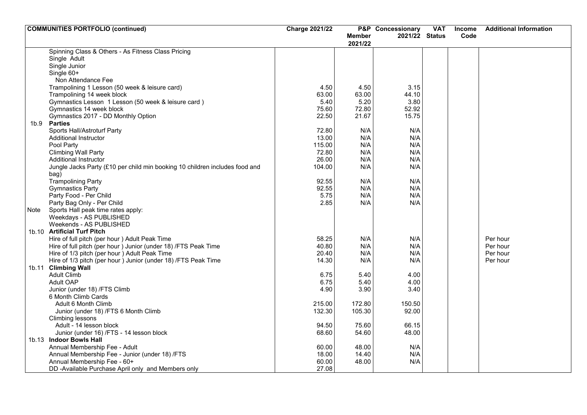|      | <b>COMMUNITIES PORTFOLIO (continued)</b>                                    | <b>Charge 2021/22</b> |               | P&P Concessionary | <b>VAT</b> | <b>Income</b> | <b>Additional Information</b> |
|------|-----------------------------------------------------------------------------|-----------------------|---------------|-------------------|------------|---------------|-------------------------------|
|      |                                                                             |                       | <b>Member</b> | 2021/22 Status    |            | Code          |                               |
|      |                                                                             |                       | 2021/22       |                   |            |               |                               |
|      | Spinning Class & Others - As Fitness Class Pricing                          |                       |               |                   |            |               |                               |
|      | Single Adult                                                                |                       |               |                   |            |               |                               |
|      | Single Junior                                                               |                       |               |                   |            |               |                               |
|      | Single 60+                                                                  |                       |               |                   |            |               |                               |
|      | Non Attendance Fee                                                          |                       |               |                   |            |               |                               |
|      | Trampolining 1 Lesson (50 week & leisure card)                              | 4.50                  | 4.50          | 3.15              |            |               |                               |
|      | Trampolining 14 week block                                                  | 63.00                 | 63.00         | 44.10             |            |               |                               |
|      | Gymnastics Lesson 1 Lesson (50 week & leisure card)                         | 5.40                  | 5.20          | 3.80              |            |               |                               |
|      | Gymnastics 14 week block                                                    | 75.60                 | 72.80         | 52.92             |            |               |                               |
|      | Gymnastics 2017 - DD Monthly Option                                         | 22.50                 | 21.67         | 15.75             |            |               |                               |
|      | 1b.9 Parties                                                                |                       |               |                   |            |               |                               |
|      | Sports Hall/Astroturf Party                                                 | 72.80                 | N/A           | N/A               |            |               |                               |
|      | <b>Additional Instructor</b>                                                | 13.00                 | N/A           | N/A               |            |               |                               |
|      | Pool Party                                                                  | 115.00                | N/A           | N/A               |            |               |                               |
|      | <b>Climbing Wall Party</b>                                                  | 72.80                 | N/A           | N/A               |            |               |                               |
|      | <b>Additional Instructor</b>                                                | 26.00                 | N/A           | N/A               |            |               |                               |
|      | Jungle Jacks Party (£10 per child min booking 10 children includes food and | 104.00                | N/A           | N/A               |            |               |                               |
|      | bag)                                                                        |                       |               |                   |            |               |                               |
|      | <b>Trampolining Party</b>                                                   | 92.55                 | N/A           | N/A               |            |               |                               |
|      | <b>Gymnastics Party</b>                                                     | 92.55                 | N/A           | N/A               |            |               |                               |
|      | Party Food - Per Child                                                      | 5.75                  | N/A           | N/A               |            |               |                               |
|      | Party Bag Only - Per Child                                                  | 2.85                  | N/A           | N/A               |            |               |                               |
| Note | Sports Hall peak time rates apply:                                          |                       |               |                   |            |               |                               |
|      | Weekdays - AS PUBLISHED                                                     |                       |               |                   |            |               |                               |
|      | Weekends - AS PUBLISHED                                                     |                       |               |                   |            |               |                               |
|      | 1b.10 Artificial Turf Pitch                                                 |                       |               |                   |            |               |                               |
|      | Hire of full pitch (per hour) Adult Peak Time                               | 58.25                 | N/A           | N/A               |            |               | Per hour                      |
|      | Hire of full pitch (per hour ) Junior (under 18) /FTS Peak Time             | 40.80                 | N/A           | N/A               |            |               | Per hour                      |
|      | Hire of 1/3 pitch (per hour) Adult Peak Time                                | 20.40                 | N/A           | N/A               |            |               | Per hour                      |
|      | Hire of 1/3 pitch (per hour) Junior (under 18) /FTS Peak Time               | 14.30                 | N/A           | N/A               |            |               | Per hour                      |
|      | 1b.11 Climbing Wall                                                         |                       |               |                   |            |               |                               |
|      | <b>Adult Climb</b>                                                          | 6.75                  | 5.40          | 4.00              |            |               |                               |
|      | Adult OAP                                                                   | 6.75                  | 5.40          | 4.00              |            |               |                               |
|      | Junior (under 18) /FTS Climb                                                | 4.90                  | 3.90          | 3.40              |            |               |                               |
|      | 6 Month Climb Cards                                                         |                       |               |                   |            |               |                               |
|      | Adult 6 Month Climb                                                         | 215.00                | 172.80        | 150.50            |            |               |                               |
|      | Junior (under 18) /FTS 6 Month Climb                                        | 132.30                | 105.30        | 92.00             |            |               |                               |
|      | Climbing lessons                                                            |                       |               |                   |            |               |                               |
|      | Adult - 14 lesson block                                                     | 94.50                 | 75.60         | 66.15             |            |               |                               |
|      | Junior (under 16) /FTS - 14 lesson block                                    | 68.60                 | 54.60         | 48.00             |            |               |                               |
|      | 1b.13 Indoor Bowls Hall                                                     |                       |               |                   |            |               |                               |
|      | Annual Membership Fee - Adult                                               | 60.00                 | 48.00         | N/A               |            |               |                               |
|      | Annual Membership Fee - Junior (under 18) /FTS                              | 18.00                 | 14.40         | N/A               |            |               |                               |
|      | Annual Membership Fee - 60+                                                 | 60.00                 | 48.00         | N/A               |            |               |                               |
|      | DD-Available Purchase April only and Members only                           | 27.08                 |               |                   |            |               |                               |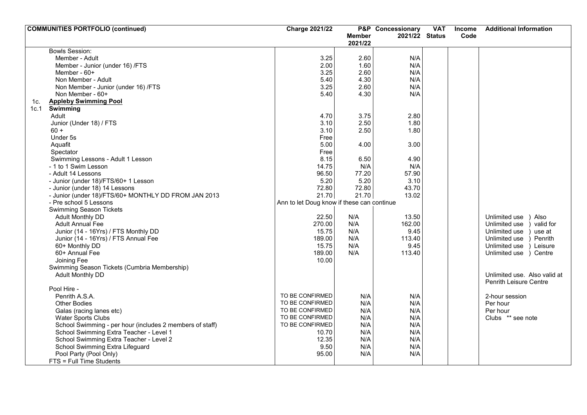| Code<br><b>Member</b><br>2021/22 Status                                                   |           |
|-------------------------------------------------------------------------------------------|-----------|
|                                                                                           |           |
| 2021/22                                                                                   |           |
| <b>Bowls Session:</b>                                                                     |           |
| Member - Adult<br>3.25<br>2.60<br>N/A                                                     |           |
| N/A<br>2.00<br>Member - Junior (under 16) /FTS<br>1.60                                    |           |
| N/A<br>3.25<br>2.60<br>Member - $60+$                                                     |           |
| 5.40<br>4.30<br>N/A<br>Non Member - Adult                                                 |           |
| 2.60<br>N/A<br>3.25<br>Non Member - Junior (under 16) /FTS                                |           |
| 5.40<br>4.30<br>N/A<br>Non Member - 60+                                                   |           |
| <b>Appleby Swimming Pool</b><br>1c.                                                       |           |
| Swimming<br>1c.1                                                                          |           |
| 3.75<br>2.80<br>4.70<br>Adult                                                             |           |
| 2.50<br>Junior (Under 18) / FTS<br>3.10<br>1.80                                           |           |
| 2.50<br>3.10<br>1.80<br>$60 +$                                                            |           |
| Under 5s<br>Free                                                                          |           |
| Aquafit<br>5.00<br>4.00<br>3.00                                                           |           |
| Free<br>Spectator                                                                         |           |
| 8.15<br>Swimming Lessons - Adult 1 Lesson<br>6.50<br>4.90                                 |           |
| N/A<br>N/A<br>14.75<br>- 1 to 1 Swim Lesson                                               |           |
| 57.90<br>96.50<br>77.20<br>- Adult 14 Lessons                                             |           |
| - Junior (under 18)/FTS/60+ 1 Lesson<br>5.20<br>5.20<br>3.10                              |           |
| 72.80<br>72.80<br>43.70<br>- Junior (under 18) 14 Lessons                                 |           |
| 21.70<br>21.70<br>13.02<br>- Junior (under 18)/FTS/60+ MONTHLY DD FROM JAN 2013           |           |
| Ann to let Doug know if these can continue<br>- Pre school 5 Lessons                      |           |
| <b>Swimming Season Tickets</b>                                                            |           |
| 22.50<br>N/A<br>13.50<br>Unlimited use<br><b>Adult Monthly DD</b>                         | Also      |
| 270.00<br>N/A<br>162.00<br><b>Adult Annual Fee</b><br>Unlimited use                       | valid for |
| Junior (14 - 16Yrs) / FTS Monthly DD<br>15.75<br>N/A<br>9.45<br>Unlimited use             | use at    |
| 189.00<br>N/A<br>Junior (14 - 16Yrs) / FTS Annual Fee<br>113.40<br>Unlimited use          | Penrith   |
| 60+ Monthly DD<br>15.75<br>N/A<br>9.45<br>Unlimited use                                   | Leisure   |
| 189.00<br>N/A<br>113.40<br>60+ Annual Fee<br>Unlimited use ) Centre                       |           |
| Joining Fee<br>10.00                                                                      |           |
| Swimming Season Tickets (Cumbria Membership)                                              |           |
| Adult Monthly DD<br>Unlimited use. Also valid at                                          |           |
| Penrith Leisure Centre                                                                    |           |
| Pool Hire -                                                                               |           |
| TO BE CONFIRMED<br>Penrith A.S.A.<br>N/A<br>N/A<br>2-hour session                         |           |
| TO BE CONFIRMED<br>N/A<br>N/A<br><b>Other Bodies</b><br>Per hour                          |           |
| TO BE CONFIRMED<br>N/A<br>N/A<br>Galas (racing lanes etc)<br>Per hour                     |           |
| TO BE CONFIRMED<br><b>Water Sports Clubs</b><br>N/A<br>N/A<br>Clubs ** see note           |           |
| TO BE CONFIRMED<br>N/A<br>N/A<br>School Swimming - per hour (includes 2 members of staff) |           |
| School Swimming Extra Teacher - Level 1<br>N/A<br>N/A<br>10.70                            |           |
| N/A<br>N/A<br>School Swimming Extra Teacher - Level 2<br>12.35                            |           |
| 9.50<br>N/A<br>N/A<br>School Swimming Extra Lifeguard                                     |           |
| Pool Party (Pool Only)<br>95.00<br>N/A<br>N/A                                             |           |
| FTS = Full Time Students                                                                  |           |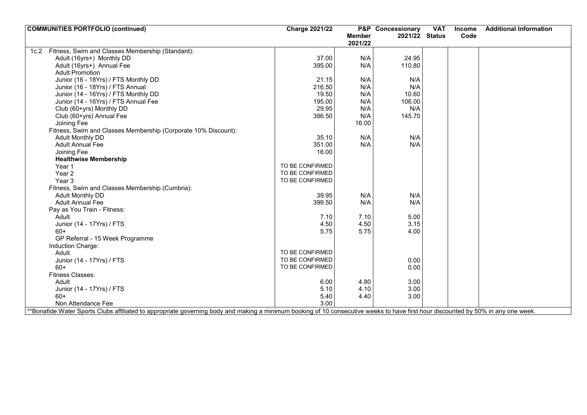| <b>COMMUNITIES PORTFOLIO (continued)</b>                                                                                                                                         | <b>Charge 2021/22</b> |               | <b>P&amp;P</b> Concessionary | <b>VAT</b> | <b>Income</b> | <b>Additional Information</b> |
|----------------------------------------------------------------------------------------------------------------------------------------------------------------------------------|-----------------------|---------------|------------------------------|------------|---------------|-------------------------------|
|                                                                                                                                                                                  |                       | <b>Member</b> | 2021/22 Status               |            | Code          |                               |
|                                                                                                                                                                                  |                       | 2021/22       |                              |            |               |                               |
| 1c.2 Fitness, Swim and Classes Membership (Standard):                                                                                                                            |                       |               |                              |            |               |                               |
| Adult (16yrs+) Monthly DD                                                                                                                                                        | 37.00                 | N/A           | 24.95                        |            |               |                               |
| Adult (16yrs+) Annual Fee                                                                                                                                                        | 395.00                | N/A           | 110.80                       |            |               |                               |
| <b>Adult Promotion</b>                                                                                                                                                           |                       |               |                              |            |               |                               |
| Junior (16 - 18Yrs) / FTS Monthly DD                                                                                                                                             | 21.15                 | N/A           | N/A                          |            |               |                               |
| Junior (16 - 18Yrs) / FTS Annual                                                                                                                                                 | 216.50                | N/A           | N/A                          |            |               |                               |
| Junior (14 - 16Yrs) / FTS Monthly DD                                                                                                                                             | 19.50                 | N/A           | 10.60                        |            |               |                               |
| Junior (14 - 16Yrs) / FTS Annual Fee                                                                                                                                             | 195.00                | N/A           | 106.00                       |            |               |                               |
| Club (60+yrs) Monthly DD                                                                                                                                                         | 29.95                 | N/A           | N/A                          |            |               |                               |
| Club (60+yrs) Annual Fee                                                                                                                                                         | 386.50                | N/A           | 145.70                       |            |               |                               |
| Joining Fee                                                                                                                                                                      |                       | 16.00         |                              |            |               |                               |
| Fitness, Swim and Classes Membership (Corporate 10% Discount):                                                                                                                   |                       |               |                              |            |               |                               |
| Adult Monthly DD                                                                                                                                                                 | 35.10                 | N/A           | N/A                          |            |               |                               |
| <b>Adult Annual Fee</b>                                                                                                                                                          | 351.00                | N/A           | N/A                          |            |               |                               |
| Joining Fee                                                                                                                                                                      | 16.00                 |               |                              |            |               |                               |
| <b>Healthwise Membership</b>                                                                                                                                                     |                       |               |                              |            |               |                               |
| Year 1                                                                                                                                                                           | TO BE CONFIRMED       |               |                              |            |               |                               |
| Year <sub>2</sub>                                                                                                                                                                | TO BE CONFIRMED       |               |                              |            |               |                               |
| Year <sub>3</sub>                                                                                                                                                                | TO BE CONFIRMED       |               |                              |            |               |                               |
| Fitness, Swim and Classes Membership (Cumbria):                                                                                                                                  |                       |               |                              |            |               |                               |
| <b>Adult Monthly DD</b>                                                                                                                                                          | 39.95                 | N/A           | N/A                          |            |               |                               |
| <b>Adult Annual Fee</b>                                                                                                                                                          | 399.50                | N/A           | N/A                          |            |               |                               |
| Pay as You Train - Fitness:                                                                                                                                                      |                       |               |                              |            |               |                               |
| Adult                                                                                                                                                                            | 7.10                  | 7.10          | 5.00                         |            |               |                               |
| Junior (14 - 17Yrs) / FTS                                                                                                                                                        | 4.50                  | 4.50          | 3.15                         |            |               |                               |
| $60+$                                                                                                                                                                            | 5.75                  | 5.75          | 4.00                         |            |               |                               |
| GP Referral - 15 Week Programme                                                                                                                                                  |                       |               |                              |            |               |                               |
| Induction Charge:                                                                                                                                                                |                       |               |                              |            |               |                               |
| Adult                                                                                                                                                                            | TO BE CONFIRMED       |               |                              |            |               |                               |
| Junior (14 - 17Yrs) / FTS                                                                                                                                                        | TO BE CONFIRMED       |               | 0.00                         |            |               |                               |
| $60+$                                                                                                                                                                            | TO BE CONFIRMED       |               | 0.00                         |            |               |                               |
| <b>Fitness Classes:</b>                                                                                                                                                          |                       |               |                              |            |               |                               |
| Adult                                                                                                                                                                            | 6.00                  | 4.80          | 3.00                         |            |               |                               |
| Junior (14 - 17Yrs) / FTS                                                                                                                                                        | 5.10                  | 4.10          | 3.00                         |            |               |                               |
| $60+$                                                                                                                                                                            | 5.40                  | 4.40          | 3.00                         |            |               |                               |
| Non Attendance Fee                                                                                                                                                               | 3.00                  |               |                              |            |               |                               |
| *Bonafide Water Sports Clubs affiliated to appropriate governing body and making a minimum booking of 10 consecutive weeks to have first hour discounted by 50% in any one week. |                       |               |                              |            |               |                               |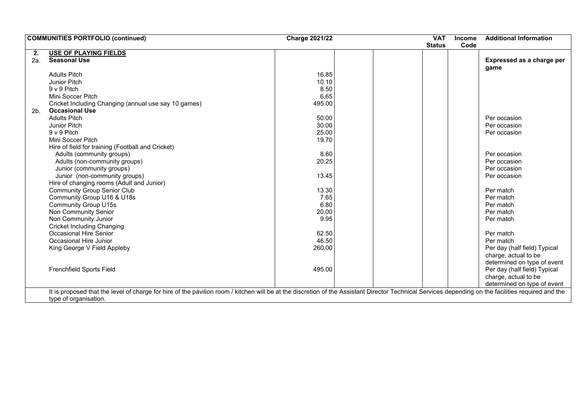|                | <b>COMMUNITIES PORTFOLIO (continued)</b>                                                                                                                                                            | <b>Charge 2021/22</b> | <b>VAT</b>    | <b>Income</b> | <b>Additional Information</b> |
|----------------|-----------------------------------------------------------------------------------------------------------------------------------------------------------------------------------------------------|-----------------------|---------------|---------------|-------------------------------|
|                |                                                                                                                                                                                                     |                       | <b>Status</b> | Code          |                               |
| 2.             | <b>USE OF PLAYING FIELDS</b>                                                                                                                                                                        |                       |               |               |                               |
| 2a.            | <b>Seasonal Use</b>                                                                                                                                                                                 |                       |               |               | Expressed as a charge per     |
|                |                                                                                                                                                                                                     |                       |               |               | game                          |
|                | <b>Adults Pitch</b>                                                                                                                                                                                 | 16.85                 |               |               |                               |
|                | Junior Pitch                                                                                                                                                                                        | 10.10                 |               |               |                               |
|                | 9 v 9 Pitch                                                                                                                                                                                         | 8.50                  |               |               |                               |
|                | Mini Soccer Pitch                                                                                                                                                                                   | 6.65                  |               |               |                               |
|                | Cricket Including Changing (annual use say 10 games)                                                                                                                                                | 495.00                |               |               |                               |
| 2 <sub>b</sub> | <b>Occasional Use</b>                                                                                                                                                                               |                       |               |               |                               |
|                | <b>Adults Pitch</b>                                                                                                                                                                                 | 50.00                 |               |               | Per occasion                  |
|                | <b>Junior Pitch</b>                                                                                                                                                                                 | 30.00                 |               |               | Per occasion                  |
|                | 9 v 9 Pitch                                                                                                                                                                                         | 25.00                 |               |               | Per occasion                  |
|                | Mini Soccer Pitch                                                                                                                                                                                   | 19.70                 |               |               |                               |
|                | Hire of field for training (Football and Cricket)                                                                                                                                                   |                       |               |               |                               |
|                | Adults (community groups)                                                                                                                                                                           | 8.60                  |               |               | Per occasion                  |
|                | Adults (non-community groups)                                                                                                                                                                       | 20.25                 |               |               | Per occasion                  |
|                | Junior (community groups)                                                                                                                                                                           |                       |               |               | Per occasion                  |
|                | Junior (non-community groups)                                                                                                                                                                       | 13.45                 |               |               | Per occasion                  |
|                | Hire of changing rooms (Adult and Junior)                                                                                                                                                           |                       |               |               |                               |
|                | <b>Community Group Senior Club</b>                                                                                                                                                                  | 13.30                 |               |               | Per match                     |
|                | Community Group U16 & U18s                                                                                                                                                                          | 7.65                  |               |               | Per match                     |
|                | <b>Community Group U15s</b>                                                                                                                                                                         | 6.80                  |               |               | Per match                     |
|                | Non Community Senior                                                                                                                                                                                | 20.00                 |               |               | Per match                     |
|                | Non Community Junior                                                                                                                                                                                | 9.95                  |               |               | Per match                     |
|                | <b>Cricket Including Changing</b>                                                                                                                                                                   |                       |               |               |                               |
|                | Occasional Hire Senior                                                                                                                                                                              | 62.50                 |               |               | Per match                     |
|                | Occasional Hire Junior                                                                                                                                                                              | 46.50                 |               |               | Per match                     |
|                | King George V Field Appleby                                                                                                                                                                         | 260.00                |               |               | Per day (half field) Typical  |
|                |                                                                                                                                                                                                     |                       |               |               | charge, actual to be          |
|                |                                                                                                                                                                                                     |                       |               |               | determined on type of event   |
|                | <b>Frenchfield Sports Field</b>                                                                                                                                                                     | 495.00                |               |               | Per day (half field) Typical  |
|                |                                                                                                                                                                                                     |                       |               |               | charge, actual to be          |
|                |                                                                                                                                                                                                     |                       |               |               | determined on type of event   |
|                | It is proposed that the level of charge for hire of the pavilion room / kitchen will be at the discretion of the Assistant Director Technical Services depending on the facilities required and the |                       |               |               |                               |
|                | type of organisation.                                                                                                                                                                               |                       |               |               |                               |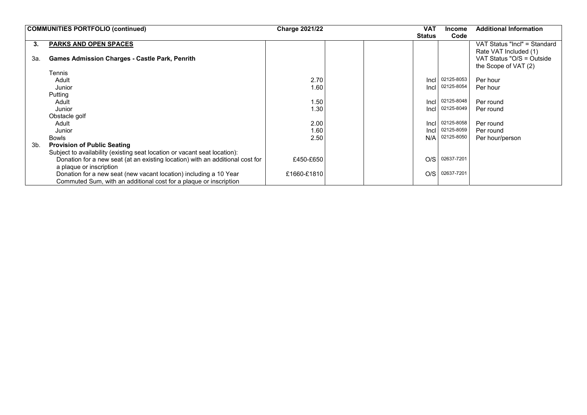|     | <b>COMMUNITIES PORTFOLIO (continued)</b>                                      |             |  | <b>VAT</b>    | <b>Income</b> | <b>Additional Information</b> |
|-----|-------------------------------------------------------------------------------|-------------|--|---------------|---------------|-------------------------------|
|     |                                                                               |             |  | <b>Status</b> | Code          |                               |
| 3.  | <b>PARKS AND OPEN SPACES</b>                                                  |             |  |               |               | VAT Status "Incl" = Standard  |
|     |                                                                               |             |  |               |               | Rate VAT Included (1)         |
| 3а. | <b>Games Admission Charges - Castle Park, Penrith</b>                         |             |  |               |               | VAT Status "O/S = Outside     |
|     |                                                                               |             |  |               |               | the Scope of VAT (2)          |
|     | Tennis                                                                        |             |  |               |               |                               |
|     | Adult                                                                         | 2.70        |  | Incl          | 02125-8053    | Per hour                      |
|     | Junior                                                                        | 1.60        |  | Incl          | 02125-8054    | Per hour                      |
|     | Putting                                                                       |             |  |               |               |                               |
|     | Adult                                                                         | 1.50        |  | Incl          | 02125-8048    | Per round                     |
|     | Junior                                                                        | 1.30        |  | Incl          | 02125-8049    | Per round                     |
|     | Obstacle golf                                                                 |             |  |               |               |                               |
|     | Adult                                                                         | 2.00        |  | Incl          | 02125-8058    | Per round                     |
|     | Junior                                                                        | 1.60        |  | Incl          | 02125-8059    | Per round                     |
|     | <b>Bowls</b>                                                                  | 2.50        |  | N/A           | 02125-8050    | Per hour/person               |
| 3b. | <b>Provision of Public Seating</b>                                            |             |  |               |               |                               |
|     | Subject to availability (existing seat location or vacant seat location):     |             |  |               |               |                               |
|     | Donation for a new seat (at an existing location) with an additional cost for | £450-£650   |  | O/S           | 02637-7201    |                               |
|     | a plaque or inscription                                                       |             |  |               |               |                               |
|     | Donation for a new seat (new vacant location) including a 10 Year             | £1660-£1810 |  | O/S           | 02637-7201    |                               |
|     | Commuted Sum, with an additional cost for a plaque or inscription             |             |  |               |               |                               |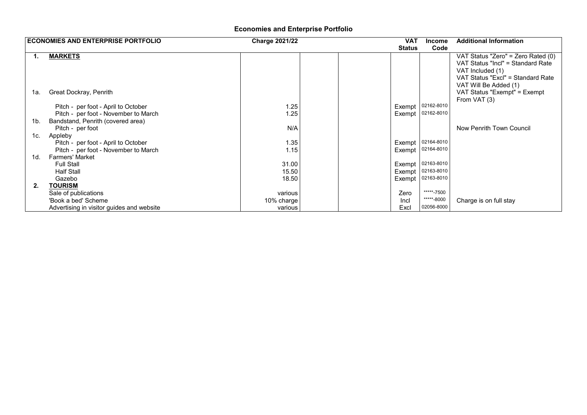## **Economies and Enterprise Portfolio**

|     | <b>ECONOMIES AND ENTERPRISE PORTFOLIO</b> | <b>Charge 2021/22</b> | <b>VAT</b>    | <b>Income</b>                   | <b>Additional Information</b>                         |  |
|-----|-------------------------------------------|-----------------------|---------------|---------------------------------|-------------------------------------------------------|--|
|     |                                           |                       | <b>Status</b> | Code                            |                                                       |  |
| 1.  | <b>MARKETS</b>                            |                       |               |                                 | VAT Status "Zero" = Zero Rated (0)                    |  |
|     |                                           |                       |               |                                 | VAT Status "Incl" = Standard Rate                     |  |
|     |                                           |                       |               |                                 | VAT Included (1)                                      |  |
|     |                                           |                       |               |                                 | VAT Status "Excl" = Standard Rate                     |  |
| 1а. | Great Dockray, Penrith                    |                       |               |                                 | VAT Will Be Added (1)<br>VAT Status "Exempt" = Exempt |  |
|     |                                           |                       |               |                                 | From VAT (3)                                          |  |
|     | Pitch - per foot - April to October       | 1.25                  |               | Exempt 02162-8010               |                                                       |  |
|     | Pitch - per foot - November to March      | 1.25                  |               | Exempt 02162-8010               |                                                       |  |
| 1b. | Bandstand, Penrith (covered area)         |                       |               |                                 |                                                       |  |
|     | Pitch - per foot                          | N/A                   |               |                                 | Now Penrith Town Council                              |  |
| 1c. | Appleby                                   |                       |               |                                 |                                                       |  |
|     | Pitch - per foot - April to October       | 1.35                  |               | Exempt 02164-8010               |                                                       |  |
|     | Pitch - per foot - November to March      | 1.15                  |               | Exempt 02164-8010               |                                                       |  |
| 1d. | <b>Farmers' Market</b>                    |                       |               |                                 |                                                       |  |
|     | <b>Full Stall</b>                         | 31.00                 |               | Exempt 02163-8010<br>02163-8010 |                                                       |  |
|     | <b>Half Stall</b><br>Gazebo               | 15.50<br>18.50        | Exempt        | Exempt 02163-8010               |                                                       |  |
| 2.  | <b>TOURISM</b>                            |                       |               |                                 |                                                       |  |
|     | Sale of publications                      | various               | Zero          | *****-7500                      |                                                       |  |
|     | 'Book a bed' Scheme                       | 10% charge            | Incl          | *****-8000                      | Charge is on full stay                                |  |
|     | Advertising in visitor guides and website | various               | Excl          | 02056-8000                      |                                                       |  |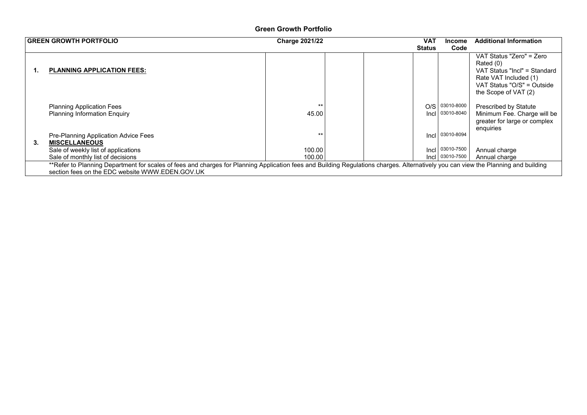### **Green Growth Portfolio**

|    | <b>GREEN GROWTH PORTFOLIO</b>                                                                                                                                                      | <b>Charge 2021/22</b> | VAT           | <b>Income</b>            | <b>Additional Information</b>                                                                                                                        |
|----|------------------------------------------------------------------------------------------------------------------------------------------------------------------------------------|-----------------------|---------------|--------------------------|------------------------------------------------------------------------------------------------------------------------------------------------------|
|    |                                                                                                                                                                                    |                       | <b>Status</b> | Code                     |                                                                                                                                                      |
| 1. | <b>PLANNING APPLICATION FEES:</b>                                                                                                                                                  |                       |               |                          | VAT Status "Zero" = Zero<br>Rated (0)<br>VAT Status "Incl" = Standard<br>Rate VAT Included (1)<br>VAT Status "O/S" = Outside<br>the Scope of VAT (2) |
|    | <b>Planning Application Fees</b><br><b>Planning Information Enquiry</b>                                                                                                            | $***$<br>45.00        | O/S<br>Incl   | 03010-8000<br>03010-8040 | <b>Prescribed by Statute</b><br>Minimum Fee. Charge will be<br>greater for large or complex<br>enquiries                                             |
|    | Pre-Planning Application Advice Fees                                                                                                                                               | $***$                 | Incl          | 03010-8094               |                                                                                                                                                      |
| 3. | <b>MISCELLANEOUS</b>                                                                                                                                                               |                       |               |                          |                                                                                                                                                      |
|    | Sale of weekly list of applications                                                                                                                                                | 100.00                | Incl          | 03010-7500               | Annual charge                                                                                                                                        |
|    | Sale of monthly list of decisions                                                                                                                                                  | 100.00                | Incl I        | 03010-7500               | Annual charge                                                                                                                                        |
|    | **Refer to Planning Department for scales of fees and charges for Planning Application fees and Building Regulations charges. Alternatively you can view the Planning and building |                       |               |                          |                                                                                                                                                      |
|    | section fees on the EDC website WWW.EDEN.GOV.UK                                                                                                                                    |                       |               |                          |                                                                                                                                                      |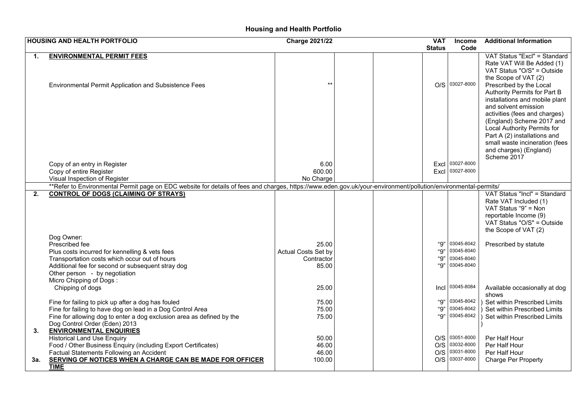## **Housing and Health Portfolio**

|     | <b>HOUSING AND HEALTH PORTFOLIO</b>                                                                                                                            | <b>Charge 2021/22</b> |  | <b>VAT</b>    | <b>Income</b>  | <b>Additional Information</b>                                                                                                                                                                                                |
|-----|----------------------------------------------------------------------------------------------------------------------------------------------------------------|-----------------------|--|---------------|----------------|------------------------------------------------------------------------------------------------------------------------------------------------------------------------------------------------------------------------------|
|     |                                                                                                                                                                |                       |  | <b>Status</b> | Code           |                                                                                                                                                                                                                              |
| 1.  | <b>ENVIRONMENTAL PERMIT FEES</b><br>Environmental Permit Application and Subsistence Fees                                                                      | $***$                 |  |               | O/S 03027-8000 | VAT Status "Excl" = Standard<br>Rate VAT Will Be Added (1)<br>VAT Status "O/S" = Outside<br>the Scope of VAT (2)<br>Prescribed by the Local<br>Authority Permits for Part B<br>installations and mobile plant                |
|     |                                                                                                                                                                |                       |  |               |                | and solvent emission<br>activities (fees and charges)<br>(England) Scheme 2017 and<br>Local Authority Permits for<br>Part A (2) installations and<br>small waste incineration (fees<br>and charges) (England)<br>Scheme 2017 |
|     | Copy of an entry in Register                                                                                                                                   | 6.00                  |  | Excl          | 03027-8000     |                                                                                                                                                                                                                              |
|     | Copy of entire Register                                                                                                                                        | 600.00                |  | Excl          | 03027-8000     |                                                                                                                                                                                                                              |
|     | Visual Inspection of Register                                                                                                                                  | No Charge             |  |               |                |                                                                                                                                                                                                                              |
|     | **Refer to Environmental Permit page on EDC website for details of fees and charges, https://www.eden.gov.uk/your-environment/pollution/environmental-permits/ |                       |  |               |                |                                                                                                                                                                                                                              |
| 2.  | <b>CONTROL OF DOGS (CLAIMING OF STRAYS)</b>                                                                                                                    |                       |  |               |                | VAT Status "Incl" = Standard<br>Rate VAT Included (1)<br>VAT Status "9" = Non<br>reportable Income (9)<br>VAT Status "O/S" = Outside<br>the Scope of VAT (2)                                                                 |
|     | Dog Owner:                                                                                                                                                     |                       |  |               |                |                                                                                                                                                                                                                              |
|     | Prescribed fee                                                                                                                                                 | 25.00                 |  | "9"           | 03045-8042     | Prescribed by statute                                                                                                                                                                                                        |
|     | Plus costs incurred for kennelling & vets fees                                                                                                                 | Actual Costs Set by   |  | "9"           | 03045-8040     |                                                                                                                                                                                                                              |
|     | Transportation costs which occur out of hours                                                                                                                  | Contractor            |  | "9"           | 03045-8040     |                                                                                                                                                                                                                              |
|     | Additional fee for second or subsequent stray dog                                                                                                              | 85.00                 |  | "9"           | 03045-8040     |                                                                                                                                                                                                                              |
|     | Other person - by negotiation                                                                                                                                  |                       |  |               |                |                                                                                                                                                                                                                              |
|     | Micro Chipping of Dogs:                                                                                                                                        |                       |  |               |                |                                                                                                                                                                                                                              |
|     | Chipping of dogs                                                                                                                                               | 25.00                 |  | Incl          | 03045-8084     | Available occasionally at dog                                                                                                                                                                                                |
|     |                                                                                                                                                                |                       |  | "9"           | 03045-8042     | shows                                                                                                                                                                                                                        |
|     | Fine for failing to pick up after a dog has fouled<br>Fine for failing to have dog on lead in a Dog Control Area                                               | 75.00<br>75.00        |  | "9"           | 03045-8042     | Set within Prescribed Limits<br>Set within Prescribed Limits                                                                                                                                                                 |
|     | Fine for allowing dog to enter a dog exclusion area as defined by the                                                                                          | 75.00                 |  | "Q"           | 03045-8042     | Set within Prescribed Limits                                                                                                                                                                                                 |
|     | Dog Control Order (Eden) 2013                                                                                                                                  |                       |  |               |                |                                                                                                                                                                                                                              |
| 3.  | <b>ENVIRONMENTAL ENQUIRIES</b>                                                                                                                                 |                       |  |               |                |                                                                                                                                                                                                                              |
|     | <b>Historical Land Use Enquiry</b>                                                                                                                             | 50.00                 |  |               | O/S 03051-8000 | Per Half Hour                                                                                                                                                                                                                |
|     | Food / Other Business Enquiry (including Export Certificates)                                                                                                  | 46.00                 |  |               | O/S 03032-8000 | Per Half Hour                                                                                                                                                                                                                |
|     | Factual Statements Following an Accident                                                                                                                       | 46.00                 |  | O/S           | 03031-8000     | Per Half Hour                                                                                                                                                                                                                |
| 3а. | SERVING OF NOTICES WHEN A CHARGE CAN BE MADE FOR OFFICER                                                                                                       | 100.00                |  | O/S           | 03037-8000     | <b>Charge Per Property</b>                                                                                                                                                                                                   |
|     | <b>TIME</b>                                                                                                                                                    |                       |  |               |                |                                                                                                                                                                                                                              |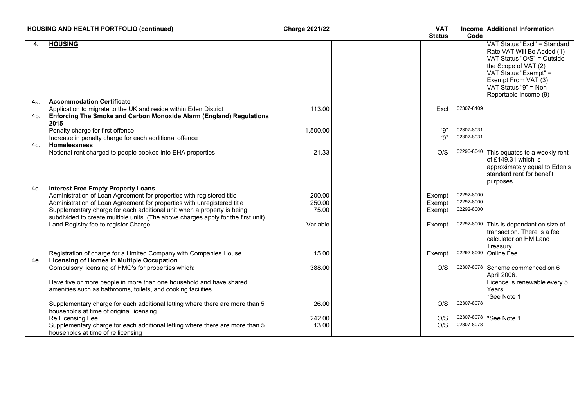|     | <b>HOUSING AND HEALTH PORTFOLIO (continued)</b>                                                                                                             | <b>Charge 2021/22</b> |  | <b>VAT</b>    |            | Income Additional Information                                                                                                                                                                                     |
|-----|-------------------------------------------------------------------------------------------------------------------------------------------------------------|-----------------------|--|---------------|------------|-------------------------------------------------------------------------------------------------------------------------------------------------------------------------------------------------------------------|
|     |                                                                                                                                                             |                       |  | <b>Status</b> | Code       |                                                                                                                                                                                                                   |
| 4.  | <b>HOUSING</b>                                                                                                                                              |                       |  |               |            | VAT Status "Excl" = Standard<br>Rate VAT Will Be Added (1)<br>VAT Status "O/S" = Outside<br>the Scope of VAT (2)<br>VAT Status "Exempt" =<br>Exempt From VAT (3)<br>VAT Status "9" = Non<br>Reportable Income (9) |
| 4a. | <b>Accommodation Certificate</b>                                                                                                                            |                       |  |               |            |                                                                                                                                                                                                                   |
| 4b. | Application to migrate to the UK and reside within Eden District<br>Enforcing The Smoke and Carbon Monoxide Alarm (England) Regulations<br>2015             | 113.00                |  | Excl          | 02307-8109 |                                                                                                                                                                                                                   |
|     | Penalty charge for first offence                                                                                                                            | 1,500.00              |  | "9"           | 02307-8031 |                                                                                                                                                                                                                   |
| 4c. | Increase in penalty charge for each additional offence<br><b>Homelessness</b>                                                                               |                       |  | "Q"           | 02307-8031 |                                                                                                                                                                                                                   |
|     | Notional rent charged to people booked into EHA properties                                                                                                  | 21.33                 |  | O/S           |            | 02296-8040 This equates to a weekly rent<br>of £149.31 which is<br>approximately equal to Eden's<br>standard rent for benefit<br>purposes                                                                         |
| 4d. | <b>Interest Free Empty Property Loans</b>                                                                                                                   |                       |  |               |            |                                                                                                                                                                                                                   |
|     | Administration of Loan Agreement for properties with registered title                                                                                       | 200.00                |  | Exempt        | 02292-8000 |                                                                                                                                                                                                                   |
|     | Administration of Loan Agreement for properties with unregistered title                                                                                     | 250.00                |  | Exempt        | 02292-8000 |                                                                                                                                                                                                                   |
|     | Supplementary charge for each additional unit when a property is being<br>subdivided to create multiple units. (The above charges apply for the first unit) | 75.00                 |  | Exempt        | 02292-8000 |                                                                                                                                                                                                                   |
|     | Land Registry fee to register Charge                                                                                                                        | Variable              |  | Exempt        |            | 02292-8000 This is dependant on size of<br>transaction. There is a fee<br>calculator on HM Land<br>Treasury                                                                                                       |
| 4e. | Registration of charge for a Limited Company with Companies House<br><b>Licensing of Homes in Multiple Occupation</b>                                       | 15.00                 |  | Exempt        | 02292-8000 | <b>Online Fee</b>                                                                                                                                                                                                 |
|     | Compulsory licensing of HMO's for properties which:                                                                                                         | 388.00                |  | O/S           |            | 02307-8078 Scheme commenced on 6<br>April 2006.                                                                                                                                                                   |
|     | Have five or more people in more than one household and have shared<br>amenities such as bathrooms, toilets, and cooking facilities                         |                       |  |               |            | Licence is renewable every 5<br>Years<br>*See Note 1                                                                                                                                                              |
|     | Supplementary charge for each additional letting where there are more than 5<br>households at time of original licensing                                    | 26.00                 |  | O/S           | 02307-8078 |                                                                                                                                                                                                                   |
|     | Re Licensing Fee<br>Supplementary charge for each additional letting where there are more than 5<br>households at time of re licensing                      | 242.00<br>13.00       |  | O/S<br>O/S    | 02307-8078 | 02307-8078 *See Note 1                                                                                                                                                                                            |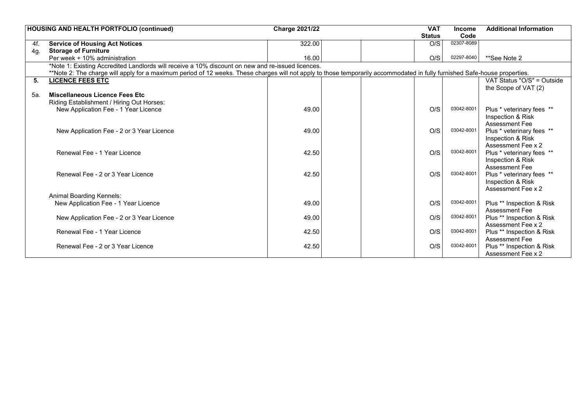|     | <b>HOUSING AND HEALTH PORTFOLIO (continued)</b>                                                                                                                            | <b>Charge 2021/22</b> | <b>VAT</b>    | <b>Income</b> | <b>Additional Information</b>              |
|-----|----------------------------------------------------------------------------------------------------------------------------------------------------------------------------|-----------------------|---------------|---------------|--------------------------------------------|
|     |                                                                                                                                                                            |                       | <b>Status</b> | Code          |                                            |
| 4f. | <b>Service of Housing Act Notices</b>                                                                                                                                      | 322.00                | O/S           | 02307-8089    |                                            |
| 4g. | <b>Storage of Furniture</b>                                                                                                                                                |                       |               |               |                                            |
|     | Per week + 10% administration                                                                                                                                              | 16.00                 | O/S           | 02297-8040    | **See Note 2                               |
|     | *Note 1: Existing Accredited Landlords will receive a 10% discount on new and re-issued licences.                                                                          |                       |               |               |                                            |
|     | **Note 2: The charge will apply for a maximum period of 12 weeks. These charges will not apply to those temporarily accommodated in fully furnished Safe-house properties. |                       |               |               |                                            |
| 5.  | <b>LICENCE FEES ETC</b>                                                                                                                                                    |                       |               |               | VAT Status "O/S" = Outside                 |
|     |                                                                                                                                                                            |                       |               |               | the Scope of VAT (2)                       |
| 5а. | <b>Miscellaneous Licence Fees Etc</b>                                                                                                                                      |                       |               |               |                                            |
|     | Riding Establishment / Hiring Out Horses:                                                                                                                                  |                       |               |               |                                            |
|     | New Application Fee - 1 Year Licence                                                                                                                                       | 49.00                 | O/S           | 03042-8001    | Plus * veterinary fees **                  |
|     |                                                                                                                                                                            |                       |               |               | Inspection & Risk                          |
|     |                                                                                                                                                                            |                       |               |               | <b>Assessment Fee</b>                      |
|     | New Application Fee - 2 or 3 Year Licence                                                                                                                                  | 49.00                 | O/S           | 03042-8001    | Plus * veterinary fees **                  |
|     |                                                                                                                                                                            |                       |               |               | Inspection & Risk                          |
|     |                                                                                                                                                                            |                       |               | 03042-8001    | Assessment Fee x 2                         |
|     | Renewal Fee - 1 Year Licence                                                                                                                                               | 42.50                 | O/S           |               | Plus * veterinary fees **                  |
|     |                                                                                                                                                                            |                       |               |               | Inspection & Risk<br><b>Assessment Fee</b> |
|     | Renewal Fee - 2 or 3 Year Licence                                                                                                                                          | 42.50                 | O/S           | 03042-8001    | Plus * veterinary fees **                  |
|     |                                                                                                                                                                            |                       |               |               | Inspection & Risk                          |
|     |                                                                                                                                                                            |                       |               |               | Assessment Fee x 2                         |
|     | Animal Boarding Kennels:                                                                                                                                                   |                       |               |               |                                            |
|     | New Application Fee - 1 Year Licence                                                                                                                                       | 49.00                 | O/S           | 03042-8001    | Plus ** Inspection & Risk                  |
|     |                                                                                                                                                                            |                       |               |               | <b>Assessment Fee</b>                      |
|     | New Application Fee - 2 or 3 Year Licence                                                                                                                                  | 49.00                 | O/S           | 03042-8001    | Plus ** Inspection & Risk                  |
|     |                                                                                                                                                                            |                       |               |               | Assessment Fee x 2                         |
|     | Renewal Fee - 1 Year Licence                                                                                                                                               | 42.50                 | O/S           | 03042-8001    | Plus ** Inspection & Risk                  |
|     |                                                                                                                                                                            |                       |               |               | <b>Assessment Fee</b>                      |
|     | Renewal Fee - 2 or 3 Year Licence                                                                                                                                          | 42.50                 | O/S           | 03042-8001    | Plus ** Inspection & Risk                  |
|     |                                                                                                                                                                            |                       |               |               | Assessment Fee x 2                         |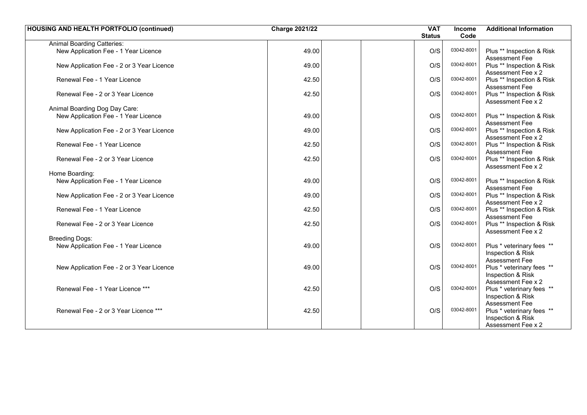| <b>HOUSING AND HEALTH PORTFOLIO (continued)</b> | <b>Charge 2021/22</b> | <b>VAT</b>    | Income     | <b>Additional Information</b>                   |
|-------------------------------------------------|-----------------------|---------------|------------|-------------------------------------------------|
|                                                 |                       | <b>Status</b> | Code       |                                                 |
| <b>Animal Boarding Catteries:</b>               |                       |               |            |                                                 |
| New Application Fee - 1 Year Licence            | 49.00                 | O/S           | 03042-8001 | Plus ** Inspection & Risk                       |
|                                                 |                       |               |            | <b>Assessment Fee</b>                           |
| New Application Fee - 2 or 3 Year Licence       | 49.00                 | O/S           | 03042-8001 | Plus ** Inspection & Risk                       |
|                                                 |                       |               |            | Assessment Fee x 2                              |
| Renewal Fee - 1 Year Licence                    | 42.50                 | O/S           | 03042-8001 | Plus ** Inspection & Risk                       |
|                                                 |                       |               | 03042-8001 | Assessment Fee                                  |
| Renewal Fee - 2 or 3 Year Licence               | 42.50                 | O/S           |            | Plus ** Inspection & Risk<br>Assessment Fee x 2 |
| Animal Boarding Dog Day Care:                   |                       |               |            |                                                 |
| New Application Fee - 1 Year Licence            | 49.00                 | O/S           | 03042-8001 | Plus ** Inspection & Risk                       |
|                                                 |                       |               |            | <b>Assessment Fee</b>                           |
| New Application Fee - 2 or 3 Year Licence       | 49.00                 | O/S           | 03042-8001 | Plus ** Inspection & Risk                       |
|                                                 |                       |               |            | Assessment Fee x 2                              |
| Renewal Fee - 1 Year Licence                    | 42.50                 | O/S           | 03042-8001 | Plus ** Inspection & Risk                       |
|                                                 |                       |               |            | Assessment Fee                                  |
| Renewal Fee - 2 or 3 Year Licence               | 42.50                 | O/S           | 03042-8001 | Plus ** Inspection & Risk                       |
|                                                 |                       |               |            | Assessment Fee x 2                              |
| Home Boarding:                                  | 49.00                 | O/S           | 03042-8001 |                                                 |
| New Application Fee - 1 Year Licence            |                       |               |            | Plus ** Inspection & Risk<br>Assessment Fee     |
| New Application Fee - 2 or 3 Year Licence       | 49.00                 | O/S           | 03042-8001 | Plus ** Inspection & Risk                       |
|                                                 |                       |               |            | Assessment Fee x 2                              |
| Renewal Fee - 1 Year Licence                    | 42.50                 | O/S           | 03042-8001 | Plus ** Inspection & Risk                       |
|                                                 |                       |               |            | <b>Assessment Fee</b>                           |
| Renewal Fee - 2 or 3 Year Licence               | 42.50                 | O/S           | 03042-8001 | Plus ** Inspection & Risk                       |
|                                                 |                       |               |            | Assessment Fee x 2                              |
| <b>Breeding Dogs:</b>                           |                       |               |            |                                                 |
| New Application Fee - 1 Year Licence            | 49.00                 | O/S           | 03042-8001 | Plus * veterinary fees **                       |
|                                                 |                       |               |            | Inspection & Risk<br><b>Assessment Fee</b>      |
| New Application Fee - 2 or 3 Year Licence       | 49.00                 | O/S           | 03042-8001 | Plus * veterinary fees **                       |
|                                                 |                       |               |            | Inspection & Risk                               |
|                                                 |                       |               |            | Assessment Fee x 2                              |
| Renewal Fee - 1 Year Licence ***                | 42.50                 | O/S           | 03042-8001 | Plus * veterinary fees **                       |
|                                                 |                       |               |            | Inspection & Risk                               |
|                                                 |                       |               |            | Assessment Fee                                  |
| Renewal Fee - 2 or 3 Year Licence ***           | 42.50                 | O/S           | 03042-8001 | Plus * veterinary fees **                       |
|                                                 |                       |               |            | Inspection & Risk                               |
|                                                 |                       |               |            | Assessment Fee x 2                              |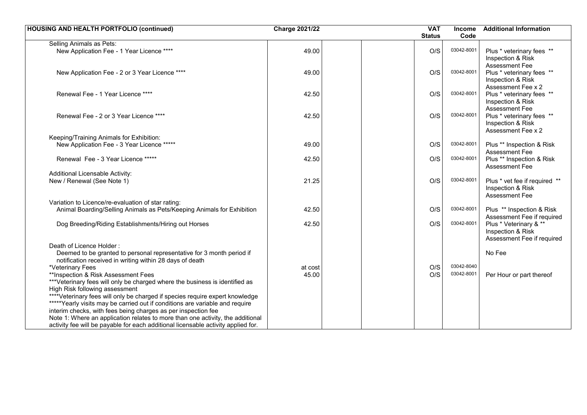| <b>HOUSING AND HEALTH PORTFOLIO (continued)</b>                                                                                                                                                                               | <b>Charge 2021/22</b> | <b>VAT</b><br><b>Status</b> | <b>Income</b><br>Code | <b>Additional Information</b>                                             |
|-------------------------------------------------------------------------------------------------------------------------------------------------------------------------------------------------------------------------------|-----------------------|-----------------------------|-----------------------|---------------------------------------------------------------------------|
| Selling Animals as Pets:                                                                                                                                                                                                      |                       |                             |                       |                                                                           |
| New Application Fee - 1 Year Licence ****                                                                                                                                                                                     | 49.00                 | O/S                         | 03042-800             | Plus * veterinary fees **<br>Inspection & Risk<br><b>Assessment Fee</b>   |
| New Application Fee - 2 or 3 Year Licence ****                                                                                                                                                                                | 49.00                 | O/S                         | 03042-8001            | Plus * veterinary fees **<br>Inspection & Risk<br>Assessment Fee x 2      |
| Renewal Fee - 1 Year Licence ****                                                                                                                                                                                             | 42.50                 | O/S                         | 03042-8001            | Plus * veterinary fees **<br>Inspection & Risk<br>Assessment Fee          |
| Renewal Fee - 2 or 3 Year Licence ****                                                                                                                                                                                        | 42.50                 | O/S                         | 03042-8001            | Plus * veterinary fees **<br>Inspection & Risk<br>Assessment Fee x 2      |
| Keeping/Training Animals for Exhibition:                                                                                                                                                                                      |                       |                             |                       |                                                                           |
| New Application Fee - 3 Year Licence *****                                                                                                                                                                                    | 49.00                 | O/S                         | 03042-8001            | Plus ** Inspection & Risk<br>Assessment Fee                               |
| Renewal Fee - 3 Year Licence *****                                                                                                                                                                                            | 42.50                 | O/S                         | 03042-8001            | Plus ** Inspection & Risk<br>Assessment Fee                               |
| Additional Licensable Activity:                                                                                                                                                                                               |                       |                             |                       |                                                                           |
| New / Renewal (See Note 1)                                                                                                                                                                                                    | 21.25                 | O/S                         | 03042-800             | Plus * vet fee if required **<br>Inspection & Risk<br>Assessment Fee      |
| Variation to Licence/re-evaluation of star rating:                                                                                                                                                                            |                       |                             |                       |                                                                           |
| Animal Boarding/Selling Animals as Pets/Keeping Animals for Exhibition                                                                                                                                                        | 42.50                 | O/S                         | 03042-8001            | Plus ** Inspection & Risk<br>Assessment Fee if required                   |
| Dog Breeding/Riding Establishments/Hiring out Horses                                                                                                                                                                          | 42.50                 | O/S                         | 03042-8001            | Plus * Veterinary & **<br>Inspection & Risk<br>Assessment Fee if required |
| Death of Licence Holder:<br>Deemed to be granted to personal representative for 3 month period if<br>notification received in writing within 28 days of death                                                                 |                       |                             |                       | No Fee                                                                    |
| *Veterinary Fees                                                                                                                                                                                                              | at cost               | O/S                         | 03042-8040            |                                                                           |
| **Inspection & Risk Assessment Fees                                                                                                                                                                                           | 45.00                 | O/S                         | 03042-8001            | Per Hour or part thereof                                                  |
| *** Veterinary fees will only be charged where the business is identified as<br>High Risk following assessment                                                                                                                |                       |                             |                       |                                                                           |
| ****Veterinary fees will only be charged if species require expert knowledge<br>*****Yearly visits may be carried out if conditions are variable and require<br>interim checks, with fees being charges as per inspection fee |                       |                             |                       |                                                                           |
| Note 1: Where an application relates to more than one activity, the additional<br>activity fee will be payable for each additional licensable activity applied for.                                                           |                       |                             |                       |                                                                           |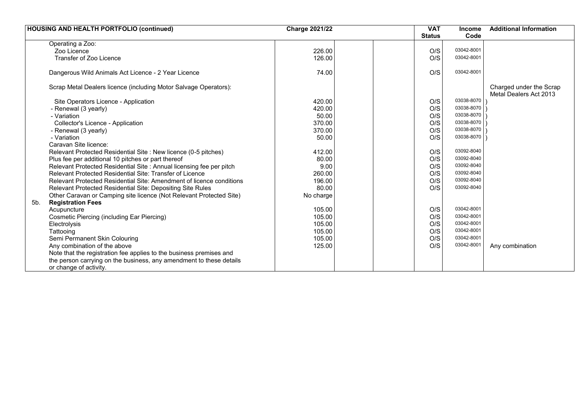| <b>HOUSING AND HEALTH PORTFOLIO (continued)</b>                      | <b>Charge 2021/22</b> |  | <b>VAT</b>    | <b>Income</b> | <b>Additional Information</b>                     |
|----------------------------------------------------------------------|-----------------------|--|---------------|---------------|---------------------------------------------------|
|                                                                      |                       |  | <b>Status</b> | Code          |                                                   |
| Operating a Zoo:                                                     |                       |  |               |               |                                                   |
| Zoo Licence                                                          | 226.00                |  | O/S           | 03042-8001    |                                                   |
| Transfer of Zoo Licence                                              | 126.00                |  | O/S           | 03042-8001    |                                                   |
| Dangerous Wild Animals Act Licence - 2 Year Licence                  | 74.00                 |  | O/S           | 03042-8001    |                                                   |
| Scrap Metal Dealers licence (including Motor Salvage Operators):     |                       |  |               |               | Charged under the Scrap<br>Metal Dealers Act 2013 |
| Site Operators Licence - Application                                 | 420.00                |  | O/S           | 03038-8070    |                                                   |
| - Renewal (3 yearly)                                                 | 420.00                |  | O/S           | 03038-8070    |                                                   |
| - Variation                                                          | 50.00                 |  | O/S           | 03038-8070    |                                                   |
| Collector's Licence - Application                                    | 370.00                |  | O/S           | 03038-8070    |                                                   |
| - Renewal (3 yearly)                                                 | 370.00                |  | O/S           | 03038-8070    |                                                   |
| - Variation                                                          | 50.00                 |  | O/S           | 03038-8070    |                                                   |
| Caravan Site licence:                                                |                       |  |               |               |                                                   |
| Relevant Protected Residential Site : New licence (0-5 pitches)      | 412.00                |  | O/S           | 03092-8040    |                                                   |
| Plus fee per additional 10 pitches or part thereof                   | 80.00                 |  | O/S           | 03092-8040    |                                                   |
| Relevant Protected Residential Site : Annual licensing fee per pitch | 9.00                  |  | O/S           | 03092-8040    |                                                   |
| <b>Relevant Protected Residential Site: Transfer of Licence</b>      | 260.00                |  | O/S           | 03092-8040    |                                                   |
| Relevant Protected Residential Site: Amendment of licence conditions | 196.00                |  | O/S           | 03092-8040    |                                                   |
| Relevant Protected Residential Site: Depositing Site Rules           | 80.00                 |  | O/S           | 03092-8040    |                                                   |
| Other Caravan or Camping site licence (Not Relevant Protected Site)  | No charge             |  |               |               |                                                   |
| <b>Registration Fees</b><br>5b.                                      |                       |  |               |               |                                                   |
| Acupuncture                                                          | 105.00                |  | O/S           | 03042-8001    |                                                   |
| Cosmetic Piercing (including Ear Piercing)                           | 105.00                |  | O/S           | 03042-8001    |                                                   |
| Electrolysis                                                         | 105.00                |  | O/S           | 03042-8001    |                                                   |
| Tattooing                                                            | 105.00                |  | O/S           | 03042-8001    |                                                   |
| Semi Permanent Skin Colouring                                        | 105.00                |  | O/S           | 03042-8001    |                                                   |
| Any combination of the above                                         | 125.00                |  | O/S           | 03042-8001    | Any combination                                   |
| Note that the registration fee applies to the business premises and  |                       |  |               |               |                                                   |
| the person carrying on the business, any amendment to these details  |                       |  |               |               |                                                   |
| or change of activity.                                               |                       |  |               |               |                                                   |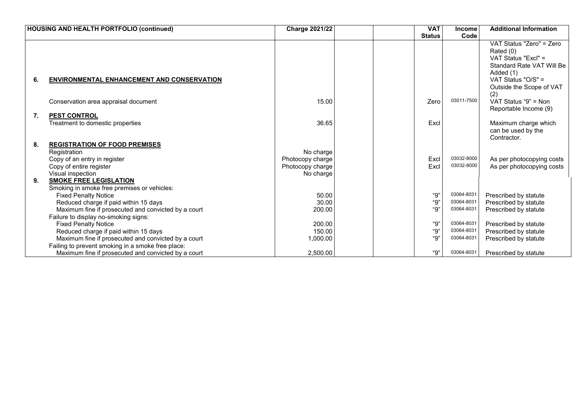|    | <b>HOUSING AND HEALTH PORTFOLIO (continued)</b>         | <b>Charge 2021/22</b> | <b>VAT</b>    | <b>Income</b> | <b>Additional Information</b>                                                                                 |
|----|---------------------------------------------------------|-----------------------|---------------|---------------|---------------------------------------------------------------------------------------------------------------|
|    |                                                         |                       | <b>Status</b> | Code          |                                                                                                               |
|    |                                                         |                       |               |               | VAT Status "Zero" = Zero<br>Rated (0)<br>VAT Status "Excl" =<br><b>Standard Rate VAT Will Be</b><br>Added (1) |
| 6. | <b>ENVIRONMENTAL ENHANCEMENT AND CONSERVATION</b>       |                       |               |               | VAT Status "O/S" =<br>Outside the Scope of VAT<br>(2)                                                         |
|    | Conservation area appraisal document                    | 15.00                 | Zero          | 03011-7500    | VAT Status "9" = Non<br>Reportable Income (9)                                                                 |
| 7. | <b>PEST CONTROL</b><br>Treatment to domestic properties | 36.65                 | Excl          |               | Maximum charge which<br>can be used by the<br>Contractor.                                                     |
| 8. | <b>REGISTRATION OF FOOD PREMISES</b>                    |                       |               |               |                                                                                                               |
|    | Registration                                            | No charge             |               |               |                                                                                                               |
|    | Copy of an entry in register                            | Photocopy charge      | Excl          | 03032-8000    | As per photocopying costs                                                                                     |
|    | Copy of entire register                                 | Photocopy charge      | Excl          | 03032-8000    | As per photocopying costs                                                                                     |
|    | Visual inspection                                       | No charge             |               |               |                                                                                                               |
| 9. | <b>SMOKE FREE LEGISLATION</b>                           |                       |               |               |                                                                                                               |
|    | Smoking in smoke free premises or vehicles:             |                       |               |               |                                                                                                               |
|    | <b>Fixed Penalty Notice</b>                             | 50.00                 | "9"           | 03064-8031    | Prescribed by statute                                                                                         |
|    | Reduced charge if paid within 15 days                   | 30.00                 | "9"           | 03064-8031    | Prescribed by statute                                                                                         |
|    | Maximum fine if prosecuted and convicted by a court     | 200.00                | "9"           | 03064-8031    | Prescribed by statute                                                                                         |
|    | Failure to display no-smoking signs:                    |                       |               |               |                                                                                                               |
|    | <b>Fixed Penalty Notice</b>                             | 200.00                | "9"           | 03064-8031    | Prescribed by statute                                                                                         |
|    | Reduced charge if paid within 15 days                   | 150.00                | "9"           | 03064-8031    | Prescribed by statute                                                                                         |
|    | Maximum fine if prosecuted and convicted by a court     | 1,000.00              | "9"           | 03064-8031    | Prescribed by statute                                                                                         |
|    | Failing to prevent smoking in a smoke free place:       |                       |               |               |                                                                                                               |
|    | Maximum fine if prosecuted and convicted by a court     | 2.500.00              | "9"           | 03064-8031    | Prescribed by statute                                                                                         |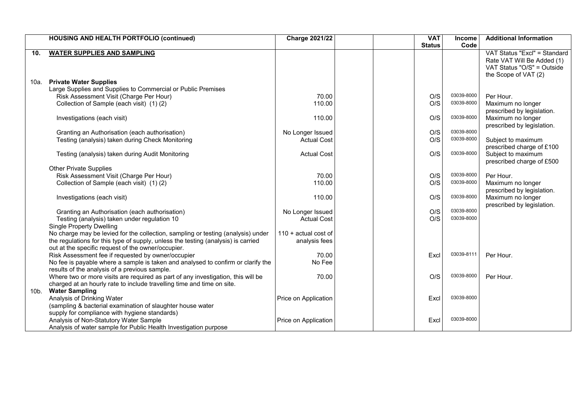|      | <b>HOUSING AND HEALTH PORTFOLIO (continued)</b>                                                | <b>Charge 2021/22</b>                  |  | <b>VAT</b>    | Income                   | <b>Additional Information</b> |
|------|------------------------------------------------------------------------------------------------|----------------------------------------|--|---------------|--------------------------|-------------------------------|
|      |                                                                                                |                                        |  | <b>Status</b> | Code                     |                               |
| 10.  | <b>WATER SUPPLIES AND SAMPLING</b>                                                             |                                        |  |               |                          | VAT Status "Excl" = Standard  |
|      |                                                                                                |                                        |  |               |                          | Rate VAT Will Be Added (1)    |
|      |                                                                                                |                                        |  |               |                          | VAT Status "O/S" = Outside    |
|      |                                                                                                |                                        |  |               |                          | the Scope of VAT (2)          |
| 10a. | <b>Private Water Supplies</b>                                                                  |                                        |  |               |                          |                               |
|      | Large Supplies and Supplies to Commercial or Public Premises                                   |                                        |  |               |                          |                               |
|      | Risk Assessment Visit (Charge Per Hour)                                                        | 70.00                                  |  | O/S           | 03039-8000               | Per Hour.                     |
|      | Collection of Sample (each visit) (1)(2)                                                       | 110.00                                 |  | O/S           | 03039-8000               | Maximum no longer             |
|      |                                                                                                |                                        |  |               |                          | prescribed by legislation.    |
|      | Investigations (each visit)                                                                    | 110.00                                 |  | O/S           | 03039-8000               | Maximum no longer             |
|      |                                                                                                |                                        |  |               |                          | prescribed by legislation.    |
|      | Granting an Authorisation (each authorisation)                                                 | No Longer Issued                       |  | O/S           | 03039-8000               |                               |
|      | Testing (analysis) taken during Check Monitoring                                               | <b>Actual Cost</b>                     |  | O/S           | 03039-8000               | Subject to maximum            |
|      |                                                                                                |                                        |  |               |                          | prescribed charge of £100     |
|      | Testing (analysis) taken during Audit Monitoring                                               | <b>Actual Cost</b>                     |  | O/S           | 03039-8000               | Subject to maximum            |
|      |                                                                                                |                                        |  |               |                          | prescribed charge of £500     |
|      | <b>Other Private Supplies</b>                                                                  |                                        |  |               |                          |                               |
|      | Risk Assessment Visit (Charge Per Hour)                                                        | 70.00                                  |  | O/S           | 03039-8000<br>03039-8000 | Per Hour.                     |
|      | Collection of Sample (each visit) (1)(2)                                                       | 110.00                                 |  | O/S           |                          | Maximum no longer             |
|      |                                                                                                |                                        |  |               | 03039-8000               | prescribed by legislation.    |
|      | Investigations (each visit)                                                                    | 110.00                                 |  | O/S           |                          | Maximum no longer             |
|      |                                                                                                |                                        |  | O/S           | 03039-8000               | prescribed by legislation.    |
|      | Granting an Authorisation (each authorisation)<br>Testing (analysis) taken under regulation 10 | No Longer Issued<br><b>Actual Cost</b> |  | O/S           | 03039-8000               |                               |
|      | <b>Single Property Dwelling</b>                                                                |                                        |  |               |                          |                               |
|      | No charge may be levied for the collection, sampling or testing (analysis) under               | $110 + actual cost of$                 |  |               |                          |                               |
|      | the regulations for this type of supply, unless the testing (analysis) is carried              | analysis fees                          |  |               |                          |                               |
|      | out at the specific request of the owner/occupier.                                             |                                        |  |               |                          |                               |
|      | Risk Assessment fee if requested by owner/occupier                                             | 70.00                                  |  | Excl          | 03039-8111               | Per Hour.                     |
|      | No fee is payable where a sample is taken and analysed to confirm or clarify the               | No Fee                                 |  |               |                          |                               |
|      | results of the analysis of a previous sample.                                                  |                                        |  |               |                          |                               |
|      | Where two or more visits are required as part of any investigation, this will be               | 70.00                                  |  | O/S           | 03039-8000               | Per Hour.                     |
|      | charged at an hourly rate to include travelling time and time on site.                         |                                        |  |               |                          |                               |
| 10b. | <b>Water Sampling</b>                                                                          |                                        |  |               |                          |                               |
|      | Analysis of Drinking Water                                                                     | Price on Application                   |  | Excl          | 03039-8000               |                               |
|      | (sampling & bacterial examination of slaughter house water                                     |                                        |  |               |                          |                               |
|      | supply for compliance with hygiene standards)                                                  |                                        |  |               |                          |                               |
|      | Analysis of Non-Statutory Water Sample                                                         | Price on Application                   |  | Excl          | 03039-8000               |                               |
|      | Analysis of water sample for Public Health Investigation purpose                               |                                        |  |               |                          |                               |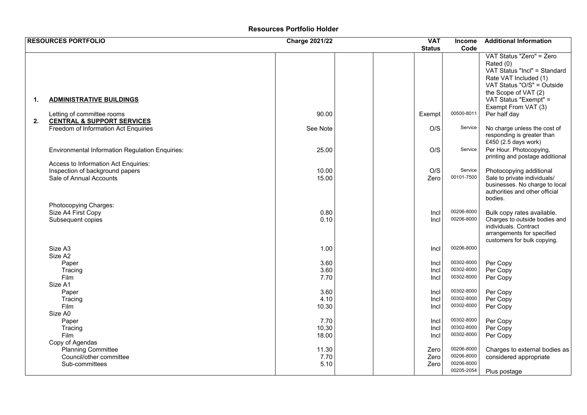## **Resources Portfolio Holder**

|    | <b>RESOURCES PORTFOLIO</b>                                                                         | <b>Charge 2021/22</b>  |  | <b>VAT</b>           | <b>Income</b>                                        | <b>Additional Information</b>                                                                                                                                                                                        |
|----|----------------------------------------------------------------------------------------------------|------------------------|--|----------------------|------------------------------------------------------|----------------------------------------------------------------------------------------------------------------------------------------------------------------------------------------------------------------------|
|    |                                                                                                    |                        |  | <b>Status</b>        | Code                                                 |                                                                                                                                                                                                                      |
| 1. | <b>ADMINISTRATIVE BUILDINGS</b><br>Letting of committee rooms                                      | 90.00                  |  | Exempt               | 00500-8011                                           | VAT Status "Zero" = Zero<br>Rated (0)<br>VAT Status "Incl" = Standard<br>Rate VAT Included (1)<br>VAT Status "O/S" = Outside<br>the Scope of VAT (2)<br>VAT Status "Exempt" =<br>Exempt From VAT (3)<br>Per half day |
| 2. | <b>CENTRAL &amp; SUPPORT SERVICES</b>                                                              |                        |  |                      |                                                      |                                                                                                                                                                                                                      |
|    | Freedom of Information Act Enquiries                                                               | See Note               |  | O/S                  | Service                                              | No charge unless the cost of<br>responding is greater than<br>£450 (2.5 days work)                                                                                                                                   |
|    | <b>Environmental Information Regulation Enquiries:</b>                                             | 25.00                  |  | O/S                  | Service                                              | Per Hour. Photocopying,<br>printing and postage additional                                                                                                                                                           |
|    | Access to Information Act Enquiries:<br>Inspection of background papers<br>Sale of Annual Accounts | 10.00<br>15.00         |  | O/S<br>Zero          | Service<br>00101-7500                                | Photocopying additional<br>Sale to private individuals/<br>businesses. No charge to local<br>authorities and other official<br>bodies.                                                                               |
|    | Photocopying Charges:<br>Size A4 First Copy<br>Subsequent copies                                   | 0.80<br>0.10           |  | Incl<br>Incl         | 00206-8000<br>00206-8000                             | Bulk copy rates available.<br>Charges to outside bodies and<br>individuals. Contract<br>arrangements for specified<br>customers for bulk copying.                                                                    |
|    | Size A3<br>Size A2                                                                                 | 1.00                   |  | Incl                 | 00206-8000                                           |                                                                                                                                                                                                                      |
|    | Paper<br>Tracing<br>Film<br>Size A1                                                                | 3.60<br>3.60<br>7.70   |  | Incl<br>Incl<br>Incl | 00302-8000<br>00302-8000<br>00302-8000               | Per Copy<br>Per Copy<br>Per Copy                                                                                                                                                                                     |
|    | Paper<br>Tracing<br>Film<br>Size A0                                                                | 3.60<br>4.10<br>10.30  |  | Incl<br>Incl<br>Incl | 00302-8000<br>00302-8000<br>00302-8000               | Per Copy<br>Per Copy<br>Per Copy                                                                                                                                                                                     |
|    | Paper<br>Tracing<br>Film                                                                           | 7.70<br>10.30<br>18.00 |  | Incl<br>Incl<br>Incl | 00302-8000<br>00302-8000<br>00302-8000               | Per Copy<br>Per Copy<br>Per Copy                                                                                                                                                                                     |
|    | Copy of Agendas<br><b>Planning Committee</b><br>Council/other committee<br>Sub-committees          | 11.30<br>7.70<br>5.10  |  | Zero<br>Zero<br>Zero | 00206-8000<br>00206-8000<br>00206-8000<br>00205-2054 | Charges to external bodies as<br>considered appropriate<br>Plus postage                                                                                                                                              |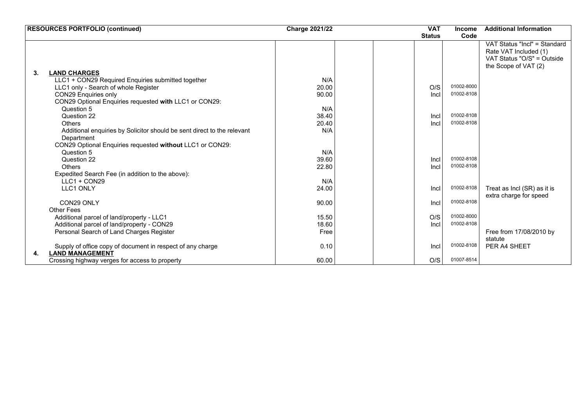| <b>RESOURCES PORTFOLIO (continued)</b>                                  | <b>Charge 2021/22</b> | <b>VAT</b>    | <b>Income</b> | <b>Additional Information</b> |
|-------------------------------------------------------------------------|-----------------------|---------------|---------------|-------------------------------|
|                                                                         |                       | <b>Status</b> | Code          |                               |
|                                                                         |                       |               |               | VAT Status "Incl" = Standard  |
|                                                                         |                       |               |               | Rate VAT Included (1)         |
|                                                                         |                       |               |               | VAT Status "O/S" = Outside    |
|                                                                         |                       |               |               | the Scope of VAT (2)          |
| 3.<br><b>LAND CHARGES</b>                                               |                       |               |               |                               |
| LLC1 + CON29 Required Enquiries submitted together                      | N/A                   |               |               |                               |
| LLC1 only - Search of whole Register                                    | 20.00                 | O/S           | 01002-8000    |                               |
| CON29 Enquiries only                                                    | 90.00                 | Incl          | 01002-8108    |                               |
| CON29 Optional Enquiries requested with LLC1 or CON29:                  |                       |               |               |                               |
| Question 5                                                              | N/A                   |               |               |                               |
| Question 22                                                             | 38.40                 | Incl          | 01002-8108    |                               |
| <b>Others</b>                                                           | 20.40                 | Incl          | 01002-8108    |                               |
| Additional enquiries by Solicitor should be sent direct to the relevant | N/A                   |               |               |                               |
| Department                                                              |                       |               |               |                               |
| CON29 Optional Enquiries requested without LLC1 or CON29:               |                       |               |               |                               |
| Question 5                                                              | N/A                   |               |               |                               |
| Question 22                                                             | 39.60                 | Incl          | 01002-8108    |                               |
| Others                                                                  | 22.80                 | Incl          | 01002-8108    |                               |
| Expedited Search Fee (in addition to the above):                        |                       |               |               |                               |
| $LLC1 + CON29$                                                          | N/A                   |               |               |                               |
| <b>LLC1 ONLY</b>                                                        | 24.00                 | Incl          | 01002-8108    | Treat as Incl (SR) as it is   |
|                                                                         |                       |               |               | extra charge for speed        |
| CON29 ONLY                                                              | 90.00                 | Incl          | 01002-8108    |                               |
| <b>Other Fees</b>                                                       |                       |               |               |                               |
| Additional parcel of land/property - LLC1                               | 15.50                 | O/S           | 01002-8000    |                               |
| Additional parcel of land/property - CON29                              | 18.60                 | Incl          | 01002-8108    |                               |
| Personal Search of Land Charges Register                                | Free                  |               |               | Free from 17/08/2010 by       |
|                                                                         |                       |               |               | statute                       |
| Supply of office copy of document in respect of any charge              | 0.10                  | Incl          | 01002-8108    | PER A4 SHEET                  |
| <b>LAND MANAGEMENT</b><br>4.                                            |                       |               |               |                               |
| Crossing highway verges for access to property                          | 60.00                 | O/S           | 01007-8514    |                               |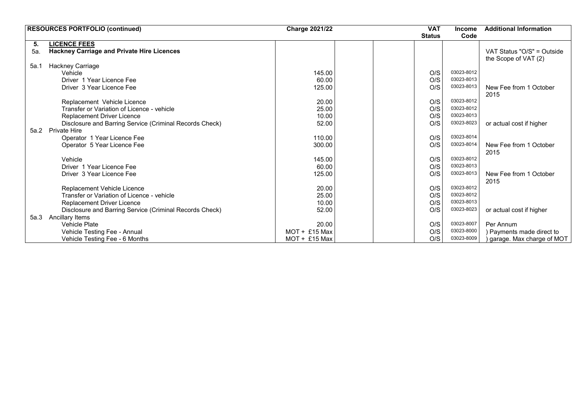|      | <b>RESOURCES PORTFOLIO (continued)</b>                  | <b>Charge 2021/22</b> | <b>VAT</b>    | <b>Income</b> | <b>Additional Information</b>                      |
|------|---------------------------------------------------------|-----------------------|---------------|---------------|----------------------------------------------------|
|      |                                                         |                       | <b>Status</b> | Code          |                                                    |
| 5.   | <b>LICENCE FEES</b>                                     |                       |               |               |                                                    |
| 5а.  | <b>Hackney Carriage and Private Hire Licences</b>       |                       |               |               | VAT Status "O/S" = Outside<br>the Scope of VAT (2) |
| 5a.1 | Hackney Carriage                                        |                       |               |               |                                                    |
|      | Vehicle                                                 | 145.00                | O/S           | 03023-8012    |                                                    |
|      | Driver 1 Year Licence Fee                               | 60.00                 | O/S           | 03023-8013    |                                                    |
|      | Driver 3 Year Licence Fee                               | 125.00                | O/S           | 03023-8013    | New Fee from 1 October                             |
|      |                                                         |                       |               |               | 2015                                               |
|      | Replacement Vehicle Licence                             | 20.00                 | O/S           | 03023-8012    |                                                    |
|      | Transfer or Variation of Licence - vehicle              | 25.00                 | O/S           | 03023-8012    |                                                    |
|      | Replacement Driver Licence                              | 10.00                 | O/S           | 03023-8013    |                                                    |
|      | Disclosure and Barring Service (Criminal Records Check) | 52.00                 | O/S           | 03023-8023    | or actual cost if higher                           |
| 5a.2 | <b>Private Hire</b>                                     |                       |               |               |                                                    |
|      | Operator 1 Year Licence Fee                             | 110.00                | O/S           | 03023-8014    |                                                    |
|      | Operator 5 Year Licence Fee                             | 300.00                | O/S           | 03023-8014    | New Fee from 1 October<br>2015                     |
|      | Vehicle                                                 | 145.00                | O/S           | 03023-8012    |                                                    |
|      | Driver 1 Year Licence Fee                               | 60.00                 | O/S           | 03023-8013    |                                                    |
|      | Driver 3 Year Licence Fee                               | 125.00                | O/S           | 03023-8013    | New Fee from 1 October                             |
|      |                                                         |                       |               |               | 2015                                               |
|      | Replacement Vehicle Licence                             | 20.00                 | O/S           | 03023-8012    |                                                    |
|      | Transfer or Variation of Licence - vehicle              | 25.00                 | O/S           | 03023-8012    |                                                    |
|      | Replacement Driver Licence                              | 10.00                 | O/S           | 03023-8013    |                                                    |
|      | Disclosure and Barring Service (Criminal Records Check) | 52.00                 | O/S           | 03023-8023    | or actual cost if higher                           |
| 5a.3 | Ancillary Items                                         |                       |               |               |                                                    |
|      | <b>Vehicle Plate</b>                                    | 20.00                 | O/S           | 03023-8007    | Per Annum                                          |
|      | Vehicle Testing Fee - Annual                            | $MOT + £15$ Max       | O/S           | 03023-8000    | ) Payments made direct to                          |
|      | Vehicle Testing Fee - 6 Months                          | $MOT + £15$ Max       | O/S           | 03023-8009    | garage. Max charge of MOT                          |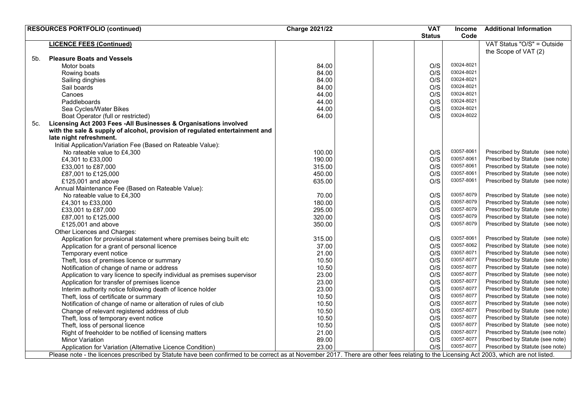|                | <b>RESOURCES PORTFOLIO (continued)</b>                                                                                                                                                 | <b>Charge 2021/22</b> | <b>VAT</b>    | <b>Income</b> | <b>Additional Information</b>    |
|----------------|----------------------------------------------------------------------------------------------------------------------------------------------------------------------------------------|-----------------------|---------------|---------------|----------------------------------|
|                |                                                                                                                                                                                        |                       | <b>Status</b> | Code          |                                  |
|                | <b>LICENCE FEES (Continued)</b>                                                                                                                                                        |                       |               |               | VAT Status "O/S" = Outside       |
|                |                                                                                                                                                                                        |                       |               |               | the Scope of VAT (2)             |
| 5 <sub>b</sub> | <b>Pleasure Boats and Vessels</b>                                                                                                                                                      |                       |               |               |                                  |
|                | Motor boats                                                                                                                                                                            | 84.00                 | O/S           | 03024-8021    |                                  |
|                | Rowing boats                                                                                                                                                                           | 84.00                 | O/S           | 03024-8021    |                                  |
|                | Sailing dinghies                                                                                                                                                                       | 84.00                 | O/S           | 03024-8021    |                                  |
|                | Sail boards                                                                                                                                                                            | 84.00                 | O/S           | 03024-8021    |                                  |
|                | Canoes                                                                                                                                                                                 | 44.00                 | O/S           | 03024-8021    |                                  |
|                | Paddleboards                                                                                                                                                                           | 44.00                 | O/S           | 03024-8021    |                                  |
|                | Sea Cycles/Water Bikes                                                                                                                                                                 | 44.00                 | O/S           | 03024-8021    |                                  |
|                | Boat Operator (full or restricted)                                                                                                                                                     | 64.00                 | O/S           | 03024-8022    |                                  |
| 5c.            | Licensing Act 2003 Fees -All Businesses & Organisations involved                                                                                                                       |                       |               |               |                                  |
|                | with the sale & supply of alcohol, provision of regulated entertainment and                                                                                                            |                       |               |               |                                  |
|                | late night refreshment.                                                                                                                                                                |                       |               |               |                                  |
|                | Initial Application/Variation Fee (Based on Rateable Value):                                                                                                                           |                       |               |               |                                  |
|                | No rateable value to £4,300                                                                                                                                                            | 100.00                | O/S           | 03057-8061    | Prescribed by Statute (see note) |
|                | £4,301 to £33,000                                                                                                                                                                      | 190.00                | O/S           | 03057-8061    | Prescribed by Statute (see note) |
|                | £33,001 to £87,000                                                                                                                                                                     | 315.00                | O/S           | 03057-8061    | Prescribed by Statute (see note) |
|                | £87,001 to £125,000                                                                                                                                                                    | 450.00                | O/S           | 03057-8061    | Prescribed by Statute (see note) |
|                | £125,001 and above                                                                                                                                                                     | 635.00                | O/S           | 03057-8061    | Prescribed by Statute (see note) |
|                | Annual Maintenance Fee (Based on Rateable Value):                                                                                                                                      |                       |               |               |                                  |
|                | No rateable value to £4,300                                                                                                                                                            | 70.00                 | O/S           | 03057-8079    | Prescribed by Statute (see note) |
|                | £4,301 to £33,000                                                                                                                                                                      | 180.00                | O/S           | 03057-8079    | Prescribed by Statute (see note) |
|                |                                                                                                                                                                                        |                       | O/S           | 03057-8079    | Prescribed by Statute (see note) |
|                | £33,001 to £87,000                                                                                                                                                                     | 295.00                | O/S           | 03057-8079    | Prescribed by Statute (see note) |
|                | £87,001 to £125,000                                                                                                                                                                    | 320.00                |               | 03057-8079    |                                  |
|                | £125,001 and above                                                                                                                                                                     | 350.00                | O/S           |               | Prescribed by Statute (see note) |
|                | Other Licences and Charges:                                                                                                                                                            |                       |               | 03057-8061    |                                  |
|                | Application for provisional statement where premises being built etc                                                                                                                   | 315.00                | O/S           | 03057-8062    | Prescribed by Statute (see note) |
|                | Application for a grant of personal licence                                                                                                                                            | 37.00                 | O/S           | 03057-8071    | Prescribed by Statute (see note) |
|                | Temporary event notice                                                                                                                                                                 | 21.00                 | O/S           |               | Prescribed by Statute (see note) |
|                | Theft, loss of premises licence or summary                                                                                                                                             | 10.50                 | O/S           | 03057-8077    | Prescribed by Statute (see note) |
|                | Notification of change of name or address                                                                                                                                              | 10.50                 | O/S           | 03057-8077    | Prescribed by Statute (see note) |
|                | Application to vary licence to specify individual as premises supervisor                                                                                                               | 23.00                 | O/S           | 03057-8077    | Prescribed by Statute (see note) |
|                | Application for transfer of premises licence                                                                                                                                           | 23.00                 | O/S           | 03057-8077    | Prescribed by Statute (see note) |
|                | Interim authority notice following death of licence holder                                                                                                                             | 23.00                 | O/S           | 03057-8077    | Prescribed by Statute (see note) |
|                | Theft, loss of certificate or summary                                                                                                                                                  | 10.50                 | O/S           | 03057-8077    | Prescribed by Statute (see note) |
|                | Notification of change of name or alteration of rules of club                                                                                                                          | 10.50                 | O/S           | 03057-8077    | Prescribed by Statute (see note) |
|                | Change of relevant registered address of club                                                                                                                                          | 10.50                 | O/S           | 03057-8077    | Prescribed by Statute (see note) |
|                | Theft, loss of temporary event notice                                                                                                                                                  | 10.50                 | O/S           | 03057-8077    | Prescribed by Statute (see note) |
|                | Theft, loss of personal licence                                                                                                                                                        | 10.50                 | O/S           | 03057-8077    | Prescribed by Statute (see note) |
|                | Right of freeholder to be notified of licensing matters                                                                                                                                | 21.00                 | O/S           | 03057-8077    | Prescribed by Statute (see note) |
|                | <b>Minor Variation</b>                                                                                                                                                                 | 89.00                 | O/S           | 03057-8077    | Prescribed by Statute (see note) |
|                | Application for Variation (Alternative Licence Condition)                                                                                                                              | 23.00                 | O/S           | 03057-8077    | Prescribed by Statute (see note) |
|                | Please note - the licences prescribed by Statute have been confirmed to be correct as at November 2017. There are other fees relating to the Licensing Act 2003, which are not listed. |                       |               |               |                                  |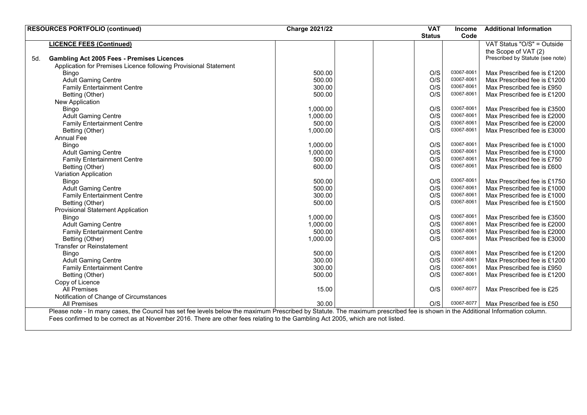|     | <b>RESOURCES PORTFOLIO (continued)</b>                                                                                                                                         | <b>Charge 2021/22</b> | <b>VAT</b>    | <b>Income</b> | <b>Additional Information</b>    |
|-----|--------------------------------------------------------------------------------------------------------------------------------------------------------------------------------|-----------------------|---------------|---------------|----------------------------------|
|     |                                                                                                                                                                                |                       | <b>Status</b> | Code          |                                  |
|     | <b>LICENCE FEES (Continued)</b>                                                                                                                                                |                       |               |               | VAT Status "O/S" = Outside       |
|     |                                                                                                                                                                                |                       |               |               | the Scope of VAT (2)             |
| 5d. | <b>Gambling Act 2005 Fees - Premises Licences</b>                                                                                                                              |                       |               |               | Prescribed by Statute (see note) |
|     | Application for Premises Licence following Provisional Statement                                                                                                               |                       |               |               |                                  |
|     | Bingo                                                                                                                                                                          | 500.00                | O/S           | 03067-8061    | Max Prescribed fee is £1200      |
|     | <b>Adult Gaming Centre</b>                                                                                                                                                     | 500.00                | O/S           | 03067-8061    | Max Prescribed fee is £1200      |
|     | <b>Family Entertainment Centre</b>                                                                                                                                             | 300.00                | O/S           | 03067-8061    | Max Prescribed fee is £950       |
|     | Betting (Other)                                                                                                                                                                | 500.00                | O/S           | 03067-8061    | Max Prescribed fee is £1200      |
|     | New Application                                                                                                                                                                |                       |               |               |                                  |
|     | Bingo                                                                                                                                                                          | 1,000.00              | O/S           | 03067-8061    | Max Prescribed fee is £3500      |
|     | <b>Adult Gaming Centre</b>                                                                                                                                                     | 1,000.00              | O/S           | 03067-8061    | Max Prescribed fee is £2000      |
|     | <b>Family Entertainment Centre</b>                                                                                                                                             | 500.00                | O/S           | 03067-8061    | Max Prescribed fee is £2000      |
|     | Betting (Other)                                                                                                                                                                | 1,000.00              | O/S           | 03067-8061    | Max Prescribed fee is £3000      |
|     | <b>Annual Fee</b>                                                                                                                                                              |                       |               |               |                                  |
|     | <b>Bingo</b>                                                                                                                                                                   | 1,000.00              | O/S           | 03067-8061    | Max Prescribed fee is £1000      |
|     | <b>Adult Gaming Centre</b>                                                                                                                                                     | 1,000.00              | O/S           | 03067-8061    | Max Prescribed fee is £1000      |
|     | <b>Family Entertainment Centre</b>                                                                                                                                             | 500.00                | O/S           | 03067-8061    | Max Prescribed fee is £750       |
|     | Betting (Other)                                                                                                                                                                | 600.00                | O/S           | 03067-8061    | Max Prescribed fee is £600       |
|     | Variation Application                                                                                                                                                          |                       |               |               |                                  |
|     | Bingo                                                                                                                                                                          | 500.00                | O/S           | 03067-8061    | Max Prescribed fee is £1750      |
|     | <b>Adult Gaming Centre</b>                                                                                                                                                     | 500.00                | O/S           | 03067-8061    | Max Prescribed fee is £1000      |
|     | <b>Family Entertainment Centre</b>                                                                                                                                             | 300.00                | O/S           | 03067-8061    | Max Prescribed fee is £1000      |
|     | Betting (Other)                                                                                                                                                                | 500.00                | O/S           | 03067-8061    | Max Prescribed fee is £1500      |
|     | <b>Provisional Statement Application</b>                                                                                                                                       |                       |               |               |                                  |
|     | Bingo                                                                                                                                                                          | 1,000.00              | O/S           | 03067-8061    | Max Prescribed fee is £3500      |
|     | <b>Adult Gaming Centre</b>                                                                                                                                                     | 1,000.00              | O/S           | 03067-8061    | Max Prescribed fee is £2000      |
|     | <b>Family Entertainment Centre</b>                                                                                                                                             | 500.00                | O/S           | 03067-8061    | Max Prescribed fee is £2000      |
|     | Betting (Other)                                                                                                                                                                | 1,000.00              | O/S           | 03067-8061    | Max Prescribed fee is £3000      |
|     | <b>Transfer or Reinstatement</b>                                                                                                                                               |                       |               |               |                                  |
|     | Bingo                                                                                                                                                                          | 500.00                | O/S           | 03067-8061    | Max Prescribed fee is £1200      |
|     | <b>Adult Gaming Centre</b>                                                                                                                                                     | 300.00                | O/S           | 03067-8061    | Max Prescribed fee is £1200      |
|     | <b>Family Entertainment Centre</b>                                                                                                                                             | 300.00                | O/S           | 03067-8061    | Max Prescribed fee is £950       |
|     | Betting (Other)                                                                                                                                                                | 500.00                | O/S           | 03067-8061    | Max Prescribed fee is £1200      |
|     | Copy of Licence                                                                                                                                                                |                       |               |               |                                  |
|     | All Premises                                                                                                                                                                   | 15.00                 | O/S           | 03067-8077    | Max Prescribed fee is £25        |
|     | Notification of Change of Circumstances                                                                                                                                        |                       |               |               |                                  |
|     | <b>All Premises</b>                                                                                                                                                            | 30.00                 | O/S           | 03067-8077    | Max Prescribed fee is £50        |
|     | Please note - In many cases, the Council has set fee levels below the maximum Prescribed by Statute. The maximum prescribed fee is shown in the Additional Information column. |                       |               |               |                                  |
|     | Fees confirmed to be correct as at November 2016. There are other fees relating to the Gambling Act 2005, which are not listed.                                                |                       |               |               |                                  |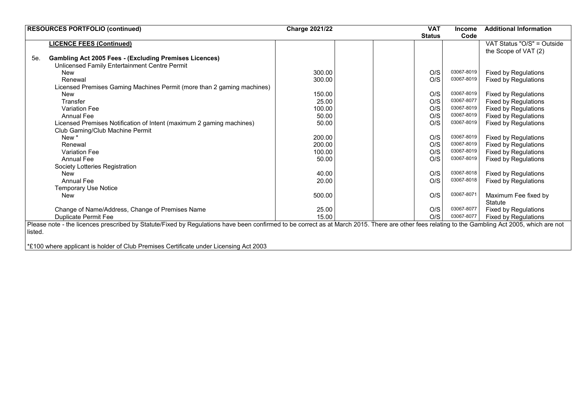| <b>RESOURCES PORTFOLIO (continued)</b>                                                                                                                                                          | <b>Charge 2021/22</b> | <b>VAT</b>    | <b>Income</b> | <b>Additional Information</b> |
|-------------------------------------------------------------------------------------------------------------------------------------------------------------------------------------------------|-----------------------|---------------|---------------|-------------------------------|
|                                                                                                                                                                                                 |                       | <b>Status</b> | Code          |                               |
| <b>LICENCE FEES (Continued)</b>                                                                                                                                                                 |                       |               |               | VAT Status "O/S" = Outside    |
|                                                                                                                                                                                                 |                       |               |               | the Scope of VAT (2)          |
| <b>Gambling Act 2005 Fees - (Excluding Premises Licences)</b><br>5e.                                                                                                                            |                       |               |               |                               |
| Unlicensed Family Entertainment Centre Permit                                                                                                                                                   |                       |               |               |                               |
| New                                                                                                                                                                                             | 300.00                | O/S           | 03067-8019    | <b>Fixed by Regulations</b>   |
| Renewal                                                                                                                                                                                         | 300.00                | O/S           | 03067-8019    | <b>Fixed by Regulations</b>   |
| Licensed Premises Gaming Machines Permit (more than 2 gaming machines)                                                                                                                          |                       |               |               |                               |
| <b>New</b>                                                                                                                                                                                      | 150.00                | O/S           | 03067-8019    | <b>Fixed by Regulations</b>   |
| Transfer                                                                                                                                                                                        | 25.00                 | O/S           | 03067-8077    | <b>Fixed by Regulations</b>   |
| <b>Variation Fee</b>                                                                                                                                                                            | 100.00                | O/S           | 03067-8019    | <b>Fixed by Regulations</b>   |
| <b>Annual Fee</b>                                                                                                                                                                               | 50.00                 | O/S           | 03067-8019    | <b>Fixed by Regulations</b>   |
| Licensed Premises Notification of Intent (maximum 2 gaming machines)                                                                                                                            | 50.00                 | O/S           | 03067-8019    | <b>Fixed by Regulations</b>   |
| Club Gaming/Club Machine Permit                                                                                                                                                                 |                       |               |               |                               |
| New *                                                                                                                                                                                           | 200.00                | O/S           | 03067-8019    | Fixed by Regulations          |
| Renewal                                                                                                                                                                                         | 200.00                | O/S           | 03067-8019    | <b>Fixed by Regulations</b>   |
| <b>Variation Fee</b>                                                                                                                                                                            | 100.00                | O/S           | 03067-8019    | <b>Fixed by Regulations</b>   |
| Annual Fee                                                                                                                                                                                      | 50.00                 | O/S           | 03067-8019    | <b>Fixed by Regulations</b>   |
| Society Lotteries Registration                                                                                                                                                                  |                       |               |               |                               |
| <b>New</b>                                                                                                                                                                                      | 40.00                 | O/S           | 03067-8018    | <b>Fixed by Regulations</b>   |
| Annual Fee                                                                                                                                                                                      | 20.00                 | O/S           | 03067-8018    | <b>Fixed by Regulations</b>   |
| <b>Temporary Use Notice</b>                                                                                                                                                                     |                       |               |               |                               |
| <b>New</b>                                                                                                                                                                                      | 500.00                | O/S           | 03067-8071    | Maximum Fee fixed by          |
|                                                                                                                                                                                                 |                       |               |               | <b>Statute</b>                |
| Change of Name/Address, Change of Premises Name                                                                                                                                                 | 25.00                 | O/S           | 03067-8077    | Fixed by Regulations          |
| <b>Duplicate Permit Fee</b>                                                                                                                                                                     | 15.00                 | O/S           | 03067-8077    | Fixed by Regulations          |
| Please note - the licences prescribed by Statute/Fixed by Regulations have been confirmed to be correct as at March 2015. There are other fees relating to the Gambling Act 2005, which are not |                       |               |               |                               |
| listed.                                                                                                                                                                                         |                       |               |               |                               |
|                                                                                                                                                                                                 |                       |               |               |                               |
| *£100 where applicant is holder of Club Premises Certificate under Licensing Act 2003                                                                                                           |                       |               |               |                               |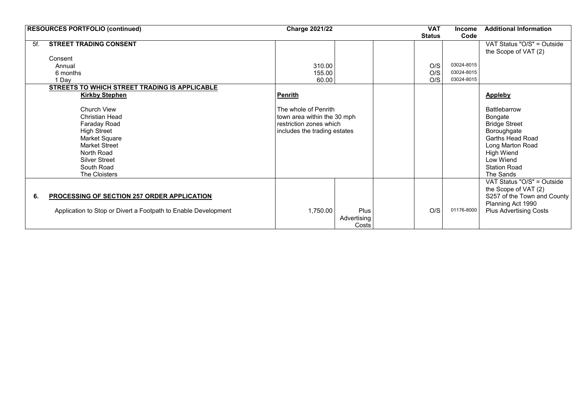| <b>RESOURCES PORTFOLIO (continued)</b>                         | <b>Charge 2021/22</b>        |             |  | <b>VAT</b>    | <b>Income</b> | <b>Additional Information</b> |
|----------------------------------------------------------------|------------------------------|-------------|--|---------------|---------------|-------------------------------|
|                                                                |                              |             |  | <b>Status</b> | Code          |                               |
| <b>STREET TRADING CONSENT</b><br>5f.                           |                              |             |  |               |               | VAT Status "O/S" = Outside    |
|                                                                |                              |             |  |               |               | the Scope of VAT (2)          |
| Consent                                                        |                              |             |  |               |               |                               |
| Annual                                                         | 310.00                       |             |  | O/S           | 03024-8015    |                               |
| 6 months                                                       | 155.00                       |             |  | O/S           | 03024-8015    |                               |
| 1 Day                                                          | 60.00                        |             |  | O/S           | 03024-8015    |                               |
| STREETS TO WHICH STREET TRADING IS APPLICABLE                  |                              |             |  |               |               |                               |
| <b>Kirkby Stephen</b>                                          | <b>Penrith</b>               |             |  |               |               | Appleby                       |
|                                                                |                              |             |  |               |               |                               |
| Church View                                                    | The whole of Penrith         |             |  |               |               | Battlebarrow                  |
| <b>Christian Head</b>                                          | town area within the 30 mph  |             |  |               |               | Bongate                       |
| Faraday Road                                                   | restriction zones which      |             |  |               |               | <b>Bridge Street</b>          |
| <b>High Street</b>                                             | includes the trading estates |             |  |               |               | Boroughgate                   |
| Market Square                                                  |                              |             |  |               |               | <b>Garths Head Road</b>       |
| <b>Market Street</b>                                           |                              |             |  |               |               | Long Marton Road              |
| North Road                                                     |                              |             |  |               |               | <b>High Wiend</b>             |
| <b>Silver Street</b>                                           |                              |             |  |               |               | Low Wiend                     |
| South Road                                                     |                              |             |  |               |               | <b>Station Road</b>           |
| The Cloisters                                                  |                              |             |  |               |               | The Sands                     |
|                                                                |                              |             |  |               |               | VAT Status "O/S" = Outside    |
|                                                                |                              |             |  |               |               | the Scope of VAT (2)          |
| PROCESSING OF SECTION 257 ORDER APPLICATION<br>6.              |                              |             |  |               |               | S257 of the Town and County   |
|                                                                |                              |             |  |               |               | Planning Act 1990             |
| Application to Stop or Divert a Footpath to Enable Development | 1,750.00                     | <b>Plus</b> |  | O/S           | 01176-8000    | <b>Plus Advertising Costs</b> |
|                                                                |                              | Advertising |  |               |               |                               |
|                                                                |                              | Costs       |  |               |               |                               |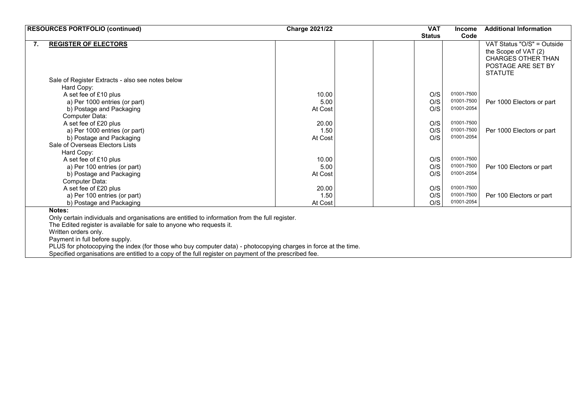|    | <b>RESOURCES PORTFOLIO (continued)</b>                                                                         | <b>Charge 2021/22</b> | <b>VAT</b>    | <b>Income</b>            | <b>Additional Information</b>                                                                                           |
|----|----------------------------------------------------------------------------------------------------------------|-----------------------|---------------|--------------------------|-------------------------------------------------------------------------------------------------------------------------|
|    |                                                                                                                |                       | <b>Status</b> | Code                     |                                                                                                                         |
| 7. | <b>REGISTER OF ELECTORS</b>                                                                                    |                       |               |                          | VAT Status "O/S" = Outside<br>the Scope of VAT (2)<br><b>CHARGES OTHER THAN</b><br>POSTAGE ARE SET BY<br><b>STATUTE</b> |
|    | Sale of Register Extracts - also see notes below                                                               |                       |               |                          |                                                                                                                         |
|    | Hard Copy:                                                                                                     |                       |               |                          |                                                                                                                         |
|    | A set fee of £10 plus                                                                                          | 10.00                 | O/S           | 01001-7500               |                                                                                                                         |
|    | a) Per 1000 entries (or part)                                                                                  | 5.00                  | O/S           | 01001-7500               | Per 1000 Electors or part                                                                                               |
|    | b) Postage and Packaging                                                                                       | At Cost               | O/S           | 01001-2054               |                                                                                                                         |
|    | Computer Data:                                                                                                 |                       |               |                          |                                                                                                                         |
|    | A set fee of £20 plus                                                                                          | 20.00                 | O/S           | 01001-7500               |                                                                                                                         |
|    | a) Per 1000 entries (or part)                                                                                  | 1.50                  | O/S           | 01001-7500<br>01001-2054 | Per 1000 Electors or part                                                                                               |
|    | b) Postage and Packaging                                                                                       | At Cost               | O/S           |                          |                                                                                                                         |
|    | Sale of Overseas Electors Lists                                                                                |                       |               |                          |                                                                                                                         |
|    | Hard Copy:                                                                                                     |                       |               | 01001-7500               |                                                                                                                         |
|    | A set fee of £10 plus                                                                                          | 10.00<br>5.00         | O/S<br>O/S    | 01001-7500               | Per 100 Electors or part                                                                                                |
|    | a) Per 100 entries (or part)                                                                                   | At Cost               | O/S           | 01001-2054               |                                                                                                                         |
|    | b) Postage and Packaging<br>Computer Data:                                                                     |                       |               |                          |                                                                                                                         |
|    | A set fee of £20 plus                                                                                          | 20.00                 | O/S           | 01001-7500               |                                                                                                                         |
|    | a) Per 100 entries (or part)                                                                                   | 1.50                  | O/S           | 01001-7500               | Per 100 Electors or part                                                                                                |
|    | b) Postage and Packaging                                                                                       | At Cost               | O/S           | 01001-2054               |                                                                                                                         |
|    | Notes:                                                                                                         |                       |               |                          |                                                                                                                         |
|    | Only certain individuals and organisations are entitled to information from the full register.                 |                       |               |                          |                                                                                                                         |
|    | The Edited register is available for sale to anyone who requests it.                                           |                       |               |                          |                                                                                                                         |
|    | Written orders only.                                                                                           |                       |               |                          |                                                                                                                         |
|    | Payment in full before supply.                                                                                 |                       |               |                          |                                                                                                                         |
|    | PLUS for photocopying the index (for those who buy computer data) - photocopying charges in force at the time. |                       |               |                          |                                                                                                                         |
|    | Specified organisations are entitled to a copy of the full register on payment of the prescribed fee.          |                       |               |                          |                                                                                                                         |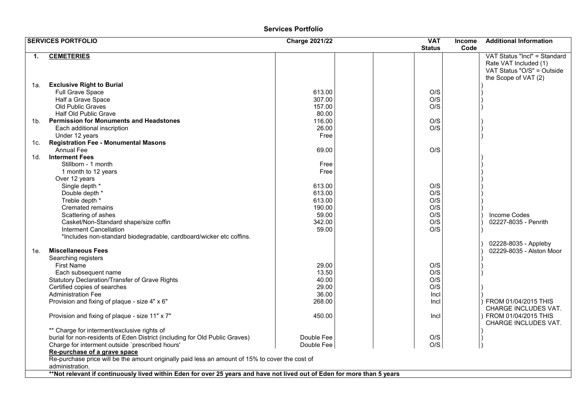#### **Services Portfolio**

|     | <b>SERVICES PORTFOLIO</b>                                                                                               | <b>Charge 2021/22</b> | <b>VAT</b>    | <b>Income</b> | <b>Additional Information</b>                                                                               |
|-----|-------------------------------------------------------------------------------------------------------------------------|-----------------------|---------------|---------------|-------------------------------------------------------------------------------------------------------------|
|     |                                                                                                                         |                       | <b>Status</b> | Code          |                                                                                                             |
| 1.  | <b>CEMETERIES</b>                                                                                                       |                       |               |               | VAT Status "Incl" = Standard<br>Rate VAT Included (1)<br>VAT Status "O/S" = Outside<br>the Scope of VAT (2) |
| 1a. | <b>Exclusive Right to Burial</b>                                                                                        |                       |               |               |                                                                                                             |
|     | Full Grave Space                                                                                                        | 613.00                | O/S           |               |                                                                                                             |
|     | Half a Grave Space                                                                                                      | 307.00                | O/S           |               |                                                                                                             |
|     | Old Public Graves                                                                                                       | 157.00                | O/S           |               |                                                                                                             |
|     | Half Old Public Grave                                                                                                   | 80.00                 |               |               |                                                                                                             |
|     | 1b. Permission for Monuments and Headstones                                                                             | 116.00                | O/S           |               |                                                                                                             |
|     | Each additional inscription                                                                                             | 26.00                 | O/S           |               |                                                                                                             |
|     | Under 12 years<br><b>Registration Fee - Monumental Masons</b>                                                           | Free                  |               |               |                                                                                                             |
| 1c. | <b>Annual Fee</b>                                                                                                       | 69.00                 | O/S           |               |                                                                                                             |
| 1d. | <b>Interment Fees</b>                                                                                                   |                       |               |               |                                                                                                             |
|     | Stillborn - 1 month                                                                                                     | Free                  |               |               |                                                                                                             |
|     | 1 month to 12 years                                                                                                     | Free                  |               |               |                                                                                                             |
|     | Over 12 years                                                                                                           |                       |               |               |                                                                                                             |
|     | Single depth *                                                                                                          | 613.00                | O/S           |               |                                                                                                             |
|     | Double depth *                                                                                                          | 613.00                | O/S           |               |                                                                                                             |
|     | Treble depth *                                                                                                          | 613.00                | O/S           |               |                                                                                                             |
|     | <b>Cremated remains</b>                                                                                                 | 190.00                | O/S           |               |                                                                                                             |
|     | Scattering of ashes                                                                                                     | 59.00                 | O/S           |               | Income Codes                                                                                                |
|     | Casket/Non-Standard shape/size coffin                                                                                   | 342.00                | O/S           |               | 02227-8035 - Penrith                                                                                        |
|     | Interment Cancellation                                                                                                  | 59.00                 | O/S           |               |                                                                                                             |
|     | *Includes non-standard biodegradable, cardboard/wicker etc coffins.                                                     |                       |               |               |                                                                                                             |
| 1e. | <b>Miscellaneous Fees</b>                                                                                               |                       |               |               | 02228-8035 - Appleby<br>02229-8035 - Alston Moor                                                            |
|     | Searching registers                                                                                                     |                       |               |               |                                                                                                             |
|     | <b>First Name</b>                                                                                                       | 29.00                 | O/S           |               |                                                                                                             |
|     | Each subsequent name                                                                                                    | 13.50                 | O/S           |               |                                                                                                             |
|     | Statutory Declaration/Transfer of Grave Rights                                                                          | 40.00<br>29.00        | O/S<br>O/S    |               |                                                                                                             |
|     | Certified copies of searches<br><b>Administration Fee</b>                                                               | 36.00                 | Incl          |               |                                                                                                             |
|     | Provision and fixing of plaque - size 4" x 6"                                                                           | 268.00                | Incl          |               | FROM 01/04/2015 THIS                                                                                        |
|     |                                                                                                                         |                       |               |               | CHARGE INCLUDES VAT.                                                                                        |
|     | Provision and fixing of plaque - size 11" x 7"                                                                          | 450.00                | Incl          |               | FROM 01/04/2015 THIS<br>CHARGE INCLUDES VAT.                                                                |
|     | ** Charge for interment/exclusive rights of                                                                             |                       |               |               |                                                                                                             |
|     | burial for non-residents of Eden District (including for Old Public Graves)                                             | Double Fee            | O/S           |               |                                                                                                             |
|     | Charge for interment outside `prescribed hours'                                                                         | Double Fee            | O/S           |               |                                                                                                             |
|     | Re-purchase of a grave space                                                                                            |                       |               |               |                                                                                                             |
|     | Re-purchase price will be the amount originally paid less an amount of 15% to cover the cost of                         |                       |               |               |                                                                                                             |
|     | administration.                                                                                                         |                       |               |               |                                                                                                             |
|     | **Not relevant if continuously lived within Eden for over 25 years and have not lived out of Eden for more than 5 years |                       |               |               |                                                                                                             |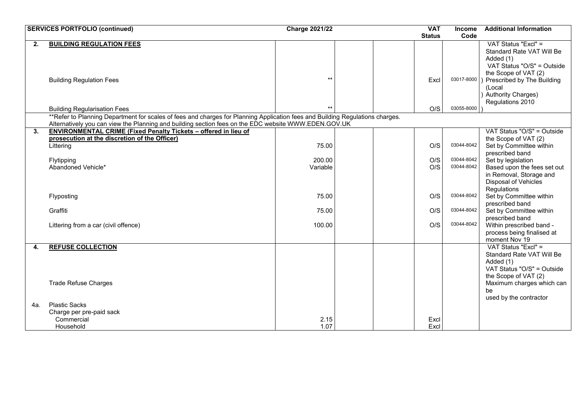|     | <b>SERVICES PORTFOLIO (continued)</b>                                                                                         |          | <b>Charge 2021/22</b> |  |               | <b>Income</b> | <b>Additional Information</b>                      |
|-----|-------------------------------------------------------------------------------------------------------------------------------|----------|-----------------------|--|---------------|---------------|----------------------------------------------------|
|     |                                                                                                                               |          |                       |  | <b>Status</b> | Code          |                                                    |
| 2.  | <b>BUILDING REGULATION FEES</b>                                                                                               |          |                       |  |               |               | VAT Status "Excl" =                                |
|     |                                                                                                                               |          |                       |  |               |               | Standard Rate VAT Will Be                          |
|     |                                                                                                                               |          |                       |  |               |               | Added (1)                                          |
|     |                                                                                                                               |          |                       |  |               |               | VAT Status "O/S" = Outside                         |
|     | <b>Building Regulation Fees</b>                                                                                               | $**$     |                       |  | Excl          | 03017-8000    | the Scope of VAT (2)<br>Prescribed by The Building |
|     |                                                                                                                               |          |                       |  |               |               | (Local                                             |
|     |                                                                                                                               |          |                       |  |               |               | <b>Authority Charges)</b>                          |
|     |                                                                                                                               |          |                       |  |               |               | Regulations 2010                                   |
|     | <b>Building Regularisation Fees</b>                                                                                           | $***$    |                       |  | O/S           | 03055-8000    |                                                    |
|     | **Refer to Planning Department for scales of fees and charges for Planning Application fees and Building Regulations charges. |          |                       |  |               |               |                                                    |
|     | Alternatively you can view the Planning and building section fees on the EDC website WWW.EDEN.GOV.UK                          |          |                       |  |               |               |                                                    |
| 3.  | <b>ENVIRONMENTAL CRIME (Fixed Penalty Tickets - offered in lieu of</b>                                                        |          |                       |  |               |               | VAT Status "O/S" = Outside                         |
|     | prosecution at the discretion of the Officer)                                                                                 | 75.00    |                       |  | O/S           | 03044-8042    | the Scope of VAT (2)                               |
|     | Littering                                                                                                                     |          |                       |  |               |               | Set by Committee within<br>prescribed band         |
|     | Flytipping                                                                                                                    | 200.00   |                       |  | O/S           | 03044-8042    | Set by legislation                                 |
|     | Abandoned Vehicle*                                                                                                            | Variable |                       |  | O/S           | 03044-8042    | Based upon the fees set out                        |
|     |                                                                                                                               |          |                       |  |               |               | in Removal, Storage and                            |
|     |                                                                                                                               |          |                       |  |               |               | <b>Disposal of Vehicles</b>                        |
|     |                                                                                                                               |          |                       |  |               |               | Regulations                                        |
|     | Flyposting                                                                                                                    | 75.00    |                       |  | O/S           | 03044-8042    | Set by Committee within                            |
|     |                                                                                                                               |          |                       |  |               |               | prescribed band                                    |
|     | Graffiti                                                                                                                      | 75.00    |                       |  | O/S           | 03044-8042    | Set by Committee within<br>prescribed band         |
|     | Littering from a car (civil offence)                                                                                          | 100.00   |                       |  | O/S           | 03044-8042    | Within prescribed band -                           |
|     |                                                                                                                               |          |                       |  |               |               | process being finalised at                         |
|     |                                                                                                                               |          |                       |  |               |               | moment Nov 19                                      |
| 4.  | <b>REFUSE COLLECTION</b>                                                                                                      |          |                       |  |               |               | VAT Status "Excl" =                                |
|     |                                                                                                                               |          |                       |  |               |               | Standard Rate VAT Will Be                          |
|     |                                                                                                                               |          |                       |  |               |               | Added (1)                                          |
|     |                                                                                                                               |          |                       |  |               |               | VAT Status "O/S" = Outside                         |
|     |                                                                                                                               |          |                       |  |               |               | the Scope of VAT (2)                               |
|     | <b>Trade Refuse Charges</b>                                                                                                   |          |                       |  |               |               | Maximum charges which can<br>be                    |
|     |                                                                                                                               |          |                       |  |               |               | used by the contractor                             |
| 4a. | <b>Plastic Sacks</b>                                                                                                          |          |                       |  |               |               |                                                    |
|     | Charge per pre-paid sack                                                                                                      |          |                       |  |               |               |                                                    |
|     | Commercial                                                                                                                    | 2.15     |                       |  | Excl          |               |                                                    |
|     | Household                                                                                                                     | 1.07     |                       |  | Excl          |               |                                                    |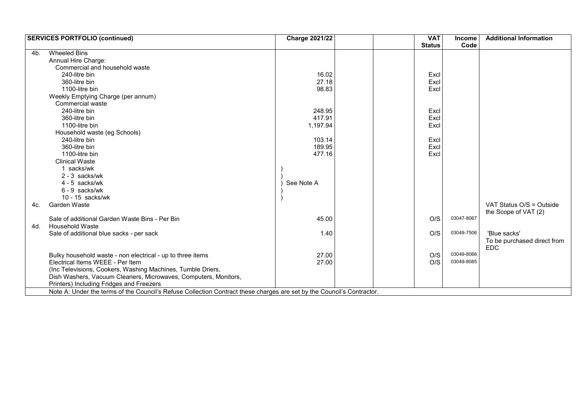|     | <b>SERVICES PORTFOLIO (continued)</b>                                                                                  | <b>Charge 2021/22</b> | <b>VAT</b>    | Income     | <b>Additional Information</b> |
|-----|------------------------------------------------------------------------------------------------------------------------|-----------------------|---------------|------------|-------------------------------|
|     |                                                                                                                        |                       | <b>Status</b> | Code       |                               |
| 4b. | <b>Wheeled Bins</b>                                                                                                    |                       |               |            |                               |
|     | Annual Hire Charge:                                                                                                    |                       |               |            |                               |
|     | Commercial and household waste                                                                                         |                       |               |            |                               |
|     | 240-litre bin                                                                                                          | 16.02                 | Excl          |            |                               |
|     | 360-litre bin                                                                                                          | 27.18                 | Excl          |            |                               |
|     | 1100-litre bin                                                                                                         | 98.83                 | Excl          |            |                               |
|     | Weekly Emptying Charge (per annum)                                                                                     |                       |               |            |                               |
|     | <b>Commercial waste</b>                                                                                                |                       |               |            |                               |
|     | 240-litre bin                                                                                                          | 248.95                | Excl          |            |                               |
|     | 360-litre bin                                                                                                          | 417.91                | Excl          |            |                               |
|     | 1100-litre bin                                                                                                         | 1,197.94              | Excl          |            |                               |
|     | Household waste (eg Schools)                                                                                           |                       |               |            |                               |
|     | 240-litre bin                                                                                                          | 103.14                | Excl          |            |                               |
|     | 360-litre bin                                                                                                          | 189.95                | Excl          |            |                               |
|     | 1100-litre bin                                                                                                         | 477.16                | Excl          |            |                               |
|     | <b>Clinical Waste</b>                                                                                                  |                       |               |            |                               |
|     | 1 sacks/wk                                                                                                             |                       |               |            |                               |
|     | $2 - 3$ sacks/wk                                                                                                       |                       |               |            |                               |
|     | $4 - 5$ sacks/wk                                                                                                       | See Note A            |               |            |                               |
|     | $6 - 9$ sacks/wk                                                                                                       |                       |               |            |                               |
|     | $10 - 15$ sacks/wk                                                                                                     |                       |               |            |                               |
| 4c. | Garden Waste                                                                                                           |                       |               |            | VAT Status O/S = Outside      |
|     |                                                                                                                        |                       |               |            | the Scope of VAT (2)          |
|     | Sale of additional Garden Waste Bins - Per Bin                                                                         | 45.00                 | O/S           | 03047-8067 |                               |
| 4d. | <b>Household Waste</b>                                                                                                 |                       |               |            |                               |
|     | Sale of additional blue sacks - per sack                                                                               | 1.40                  | O/S           | 03049-7506 | 'Blue sacks'                  |
|     |                                                                                                                        |                       |               |            | To be purchased direct from   |
|     |                                                                                                                        |                       |               |            | <b>EDC</b>                    |
|     | Bulky household waste - non electrical - up to three items                                                             | 27.00                 | O/S           | 03049-8066 |                               |
|     | Electrical Items WEEE - Per Item                                                                                       | 27.00                 | O/S           | 03049-8085 |                               |
|     | (Inc Televisions, Cookers, Washing Machines, Tumble Driers,                                                            |                       |               |            |                               |
|     | Dish Washers, Vacuum Cleaners, Microwaves, Computers, Monitors,                                                        |                       |               |            |                               |
|     | Printers) Including Fridges and Freezers                                                                               |                       |               |            |                               |
|     | Note A: Under the terms of the Council's Refuse Collection Contract these charges are set by the Council's Contractor. |                       |               |            |                               |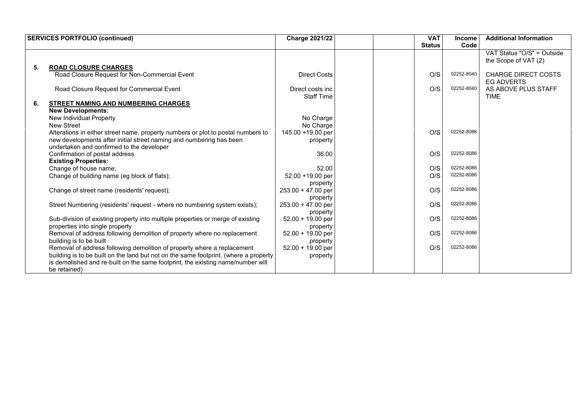|    | <b>SERVICES PORTFOLIO (continued)</b>                                                | <b>Charge 2021/22</b> |  | <b>VAT</b>    | <b>Income</b> | <b>Additional Information</b> |
|----|--------------------------------------------------------------------------------------|-----------------------|--|---------------|---------------|-------------------------------|
|    |                                                                                      |                       |  | <b>Status</b> | Code          |                               |
|    |                                                                                      |                       |  |               |               | VAT Status "O/S" = Outside    |
|    |                                                                                      |                       |  |               |               | the Scope of VAT (2)          |
| 5. | <b>ROAD CLOSURE CHARGES</b>                                                          |                       |  |               |               |                               |
|    | Road Closure Request for Non-Commercial Event                                        | <b>Direct Costs</b>   |  | O/S           | 02252-8040    | <b>CHARGE DIRECT COSTS</b>    |
|    |                                                                                      |                       |  |               |               | <b>EG ADVERTS</b>             |
|    | Road Closure Request for Commercial Event                                            | Direct costs inc      |  | O/S           | 02252-8040    | AS ABOVE PLUS STAFF           |
|    |                                                                                      | <b>Staff Time</b>     |  |               |               | <b>TIME</b>                   |
| 6. | <b>STREET NAMING AND NUMBERING CHARGES</b>                                           |                       |  |               |               |                               |
|    | <b>New Developments:</b>                                                             |                       |  |               |               |                               |
|    | New Individual Property                                                              | No Charge             |  |               |               |                               |
|    | <b>New Street</b>                                                                    | No Charge             |  |               |               |                               |
|    | Alterations in either street name, property numbers or plot to postal numbers to     | 145.00 +19.00 per     |  | O/S           | 02252-8086    |                               |
|    | new developments after initial street naming and numbering has been                  | property              |  |               |               |                               |
|    | undertaken and confirmed to the developer                                            |                       |  |               |               |                               |
|    | Confirmation of postal address                                                       | 36.00                 |  | O/S           | 02252-8086    |                               |
|    | <b>Existing Properties:</b>                                                          |                       |  |               |               |                               |
|    | Change of house name;                                                                | 52.00                 |  | O/S           | 02252-8086    |                               |
|    | Change of building name (eg block of flats);                                         | 52.00 +19.00 per      |  | O/S           | 02252-8086    |                               |
|    |                                                                                      | property              |  |               |               |                               |
|    | Change of street name (residents' request);                                          | $253.00 + 47.00$ per  |  | O/S           | 02252-8086    |                               |
|    |                                                                                      | property              |  |               |               |                               |
|    | Street Numbering (residents' request - where no numbering system exists);            | $253.00 + 47.00$ per  |  | O/S           | 02252-8086    |                               |
|    |                                                                                      | property              |  |               |               |                               |
|    | Sub-division of existing property into multiple properties or merge of existing      | $52.00 + 19.00$ per   |  | O/S           | 02252-8086    |                               |
|    | properties into single property                                                      | property              |  |               |               |                               |
|    | Removal of address following demolition of property where no replacement             | $52.00 + 19.00$ per   |  | O/S           | 02252-8086    |                               |
|    | building is to be built                                                              | property              |  |               |               |                               |
|    | Removal of address following demolition of property where a replacement              | $52.00 + 19.00$ per   |  | O/S           | 02252-8086    |                               |
|    | building is to be built on the land but not on the same footprint. (where a property | property              |  |               |               |                               |
|    | is demolished and re-built on the same footprint, the existing name/number will      |                       |  |               |               |                               |
|    | be retained)                                                                         |                       |  |               |               |                               |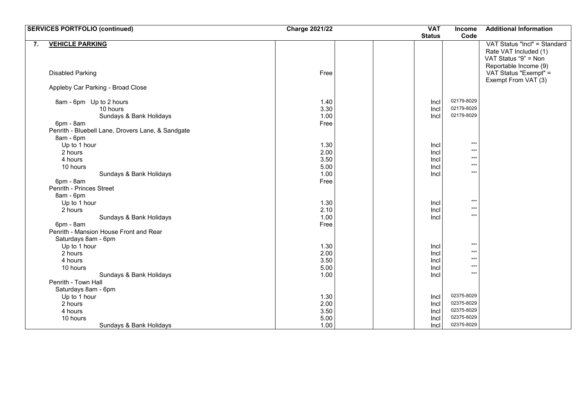|                         | <b>SERVICES PORTFOLIO (continued)</b>             | <b>Charge 2021/22</b> | <b>VAT</b>    | Income                   | <b>Additional Information</b>                                                                          |
|-------------------------|---------------------------------------------------|-----------------------|---------------|--------------------------|--------------------------------------------------------------------------------------------------------|
|                         |                                                   |                       | <b>Status</b> | Code                     |                                                                                                        |
| 7.                      | <b>VEHICLE PARKING</b>                            |                       |               |                          | VAT Status "Incl" = Standard<br>Rate VAT Included (1)<br>VAT Status "9" = Non<br>Reportable Income (9) |
| <b>Disabled Parking</b> |                                                   | Free                  |               |                          | VAT Status "Exempt" =<br>Exempt From VAT (3)                                                           |
|                         | Appleby Car Parking - Broad Close                 |                       |               |                          |                                                                                                        |
|                         | 8am - 6pm Up to 2 hours<br>10 hours               | 1.40<br>3.30          | Incl<br>Incl  | 02179-8029<br>02179-8029 |                                                                                                        |
|                         | Sundays & Bank Holidays                           | 1.00                  | Incl          | 02179-8029               |                                                                                                        |
| 6pm - 8am               |                                                   | Free                  |               |                          |                                                                                                        |
| 8am - 6pm               | Penrith - Bluebell Lane, Drovers Lane, & Sandgate |                       |               |                          |                                                                                                        |
|                         | Up to 1 hour                                      | 1.30                  | Incl          | $***$                    |                                                                                                        |
| 2 hours                 |                                                   | 2.00                  | Incl          | $***$                    |                                                                                                        |
| 4 hours                 |                                                   | 3.50                  | Incl          | $***$                    |                                                                                                        |
| 10 hours                |                                                   | 5.00                  | Incl          | $***$                    |                                                                                                        |
|                         | Sundays & Bank Holidays                           | 1.00                  | Incl          | $***$                    |                                                                                                        |
| 6pm - 8am               |                                                   | Free                  |               |                          |                                                                                                        |
|                         | Penrith - Princes Street                          |                       |               |                          |                                                                                                        |
| 8am - 6pm               |                                                   |                       |               |                          |                                                                                                        |
|                         | Up to 1 hour                                      | 1.30                  | Incl          | $\star\star\star$        |                                                                                                        |
| 2 hours                 |                                                   | 2.10                  | Incl          | $***$<br>$***$           |                                                                                                        |
|                         | Sundays & Bank Holidays                           | 1.00                  | Incl          |                          |                                                                                                        |
| 6pm - 8am               |                                                   | Free                  |               |                          |                                                                                                        |
|                         | Penrith - Mansion House Front and Rear            |                       |               |                          |                                                                                                        |
|                         | Saturdays 8am - 6pm<br>Up to 1 hour               | 1.30                  |               | $***$                    |                                                                                                        |
| 2 hours                 |                                                   | 2.00                  | Incl<br>Incl  | $***$                    |                                                                                                        |
| 4 hours                 |                                                   | 3.50                  | Incl          | $***$                    |                                                                                                        |
| 10 hours                |                                                   | 5.00                  | Incl          | $***$                    |                                                                                                        |
|                         | Sundays & Bank Holidays                           | 1.00                  | Incl          | $***$                    |                                                                                                        |
|                         | Penrith - Town Hall                               |                       |               |                          |                                                                                                        |
|                         | Saturdays 8am - 6pm                               |                       |               |                          |                                                                                                        |
|                         | Up to 1 hour                                      | 1.30                  | Incl          | 02375-8029               |                                                                                                        |
| 2 hours                 |                                                   | 2.00                  | Incl          | 02375-8029               |                                                                                                        |
| 4 hours                 |                                                   | 3.50                  | Incl          | 02375-8029               |                                                                                                        |
| 10 hours                |                                                   | 5.00                  | Incl          | 02375-8029               |                                                                                                        |
|                         | Sundays & Bank Holidays                           | 1.00                  | Incl          | 02375-8029               |                                                                                                        |